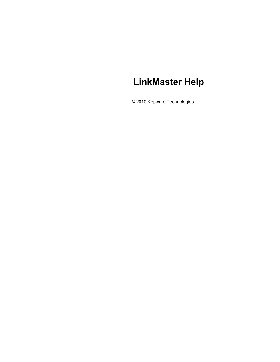# **LinkMaster Help**

© 2010 Kepware Technologies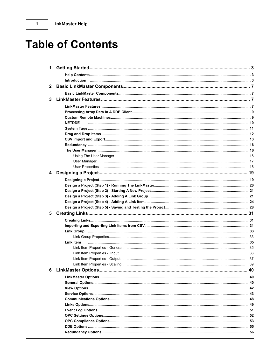| $\mathbf{2}$ |                      |      |
|--------------|----------------------|------|
|              |                      |      |
| 3            |                      |      |
|              |                      |      |
|              |                      |      |
|              |                      |      |
|              | <b>NETDDE</b>        |      |
|              |                      |      |
|              |                      |      |
|              |                      |      |
|              |                      |      |
|              |                      |      |
|              |                      |      |
|              |                      |      |
|              |                      |      |
| 4            |                      |      |
|              |                      |      |
|              |                      |      |
|              |                      |      |
|              |                      |      |
|              |                      |      |
|              |                      |      |
|              |                      |      |
|              |                      |      |
|              |                      |      |
|              |                      |      |
|              |                      |      |
|              | Link Item            |      |
|              |                      |      |
|              |                      |      |
|              |                      |      |
|              |                      |      |
|              | 6 LinkMaster Options | . 40 |
|              |                      |      |
|              |                      |      |
|              |                      |      |
|              |                      |      |
|              |                      |      |
|              |                      |      |
|              |                      |      |
|              |                      |      |
|              |                      |      |
|              |                      |      |
|              |                      |      |
|              |                      |      |

 $\mathbf 1$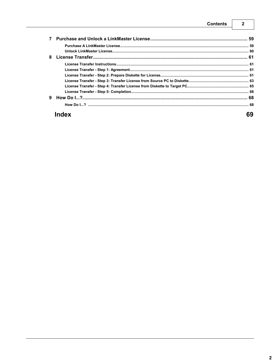## **Contents**

 $\overline{\mathbf{2}}$ 

| 8 |  |
|---|--|
|   |  |
|   |  |
|   |  |
|   |  |
|   |  |
|   |  |
| 9 |  |
|   |  |
|   |  |

# **Index**

69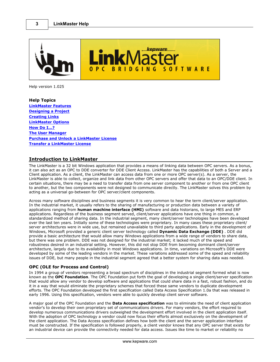<span id="page-3-0"></span>

Help version 1.025

**Help Topics [LinkMaster Features](#page-7-1) [Designing a Project](#page-19-0) [Creating Links](#page-31-0) [LinkMaster Options](#page-40-0) [How Do I...?](#page-68-1) [The User Manager](#page-16-1) [Purchase and Unlock a LinkMaster License](#page-59-0) [Transfer a LinkMaster License](#page-61-1)**

## <span id="page-3-1"></span>**Introduction to LinkMaster**

The LinkMaster is a 32 bit Windows application that provides a means of linking data between OPC servers. As a bonus, it can also act as an OPC to DDE converter for DDE Client Access. LinkMaster has the capabilities of both a Server and a Client application. As a client, the LinkMaster can access data from one or more OPC server(s). As a server, the LinkMaster is able to collect, organize and link data from other OPC servers and offer that data to an OPC/DDE client. In certain situations, there may be a need to transfer data from one server component to another or from one OPC client to another, but the two components were not designed to communicate directly. The LinkMaster solves this problem by acting as a universal go-between for OPC server/client components.

Across many software disciplines and business segments it is very common to hear the term client/server application. In the industrial market, it usually refers to the sharing of manufacturing or production data between a variety of applications ranging from **human machine interface (HMI)** software and data historians, to large MES and ERP applications. Regardless of the business segment served, client/server applications have one thing in common, a standardized method of sharing data. In the industrial segment, many client/server technologies have been developed over the last ten years. Initially some of these technologies were proprietary. In many cases these proprietary client/ server architectures were in wide use, but remained unavailable to third party applications. Early in the development of Windows, Microsoft provided a generic client server technology called **Dynamic Data Exchange (DDE)** . DDE did provide a basic architecture that would allow many Windows applications from a wide range of vendors to share data, but there was one problem. DDE was not designed for the industrial market; it lacked much of the speed and robustness desired in an industrial setting. However, this did not stop DDE from becoming dominant client/server architecture, largely due to its availability in most Windows applications. In time, variations on Microsoft's DDE were developed by some of the leading vendors in the market. These variations addressed some of the speed and reliability issues of DDE, but many people in the industrial segment agreed that a better system for sharing data was needed.

## **OPC (OLE for Process and Control)**

In 1994 a group of vendors representing a broad spectrum of disciplines in the industrial segment formed what is now known as the **OPC Foundation**. The OPC Foundation put forth the goal of developing a single client/server specification that would allow any vendor to develop software and applications that could share data in a fast, robust fashion, and do it in a way that would eliminate the proprietary schemes that forced these same vendors to duplicate development efforts. The OPC Foundation developed the first specification called Data Access Specification 1.0a that was released in early 1996. Using this specification, vendors were able to quickly develop client server software.

A major goal of the OPC Foundation and the **Data Access specification** was to eliminate the need of client application vendor's to develop their own proprietary set of communications drivers. For many vendors, the effort required to develop numerous communications drivers outweighed the development effort involved in the client application itself. With the adoption of OPC technology a vendor could now focus their efforts almost exclusively on the development of the client application. The Data Access specification defines how both the client and the server application interface must be constructed. If the specification is followed properly, a client vendor knows that any OPC server that exists for an industrial device can provide the connectivity needed for data access. Issues like time to market or reliability no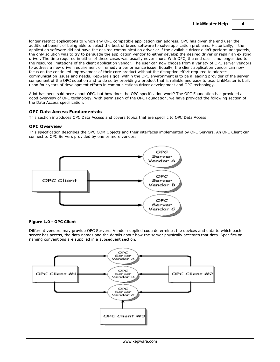longer restrict applications to which any OPC compatible application can address. OPC has given the end user the additional benefit of being able to select the best of breed software to solve application problems. Historically, if the application software did not have the desired communication driver or if the available driver didn't perform adequately, the only solution was to try to persuade the application vendor to either develop the desired driver or repair an existing driver. The time required in either of these cases was usually never short. With OPC, the end user is no longer tied to the resource limitations of the client application vendor. The user can now choose from a variety of OPC server vendors to address a new driver requirement or remedy a performance issue. Equally, the client application vendor can now focus on the continued improvement of their core product without the disruptive effort required to address communication issues and needs. Kepware's goal within the OPC environment is to be a leading provider of the server component of the OPC equation and to do so by providing a product that is reliable and easy to use. LinkMaster is built upon four years of development efforts in communications driver development and OPC technology.

A lot has been said here about OPC, but how does the OPC specification work? The OPC Foundation has provided a good overview of OPC technology. With permission of the OPC Foundation, we have provided the following section of the Data Access specification.

## **OPC Data Access Fundamentals**

This section introduces OPC Data Access and covers topics that are specific to OPC Data Access.

#### **OPC Overview**

This specification describes the OPC COM Objects and their interfaces implemented by OPC Servers. An OPC Client can connect to OPC Servers provided by one or more vendors.



## **Figure 1.0 - OPC Client**

Different vendors may provide OPC Servers. Vendor supplied code determines the devices and data to which each server has access, the data names and the details about how the server physically accesses that data. Specifics on naming conventions are supplied in a subsequent section.

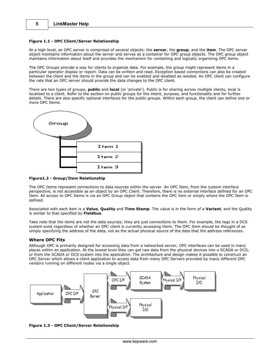#### **Figure 1.1 - OPC Client/Server Relationship**

At a high level, an OPC server is comprised of several objects: the **server**, the **group**, and the **item**. The OPC server object maintains information about the server and serves as a container for OPC group objects. The OPC group object maintains information about itself and provides the mechanism for containing and logically organizing OPC items.

The OPC Groups provide a way for clients to organize data. For example, the group might represent items in a particular operator display or report. Data can be written and read. Exception based connections can also be created between the client and the items in the group and can be enabled and disabled as needed. An OPC client can configure the rate that an OPC server should provide the data changes to the OPC client.

There are two types of groups, **public** and **local** (or 'private'). Public is for sharing across multiple clients, local is localized to a client. Refer to the section on public groups for the intent, purpose, and functionality and for further details. There are also specific optional interfaces for the public groups. Within each group, the client can define one or more OPC Items.



**Figure1.2 - Group/Item Relationship**

The OPC Items represent connections to data sources within the server. An OPC Item, from the custom interface perspective, is not accessible as an object by an OPC Client. Therefore, there is no external interface defined for an OPC Item. All access to OPC Items is via an OPC Group object that contains the OPC item or simply where the OPC Item is defined.

Associated with each item is a **Value**, **Quality** and **Time Stamp**. The value is in the form of a **Variant**, and the Quality is similar to that specified by **Fieldbus**.

Take note that the items are not the data sources; they are just connections to them. For example, the tags in a DCS system exist regardless of whether an OPC client is currently accessing them. The OPC Item should be thought of as simply specifying the address of the data, not as the actual physical source of the data that the address references.

## **Where OPC Fits**

Although OPC is primarily designed for accessing data from a networked server, OPC interfaces can be used in many places within an application. At the lowest level they can get raw data from the physical devices into a SCADA or DCS, or from the SCADA or DCS system into the application. The architecture and design makes it possible to construct an OPC Server which allows a client application to access data from many OPC Servers provided by many different OPC vendors running on different nodes via a single object.



**Figure 1.3 - OPC Client/Server Relationship**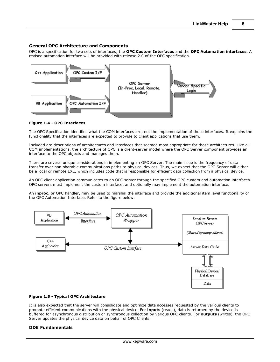## **General OPC Architecture and Components**

OPC is a specification for two sets of interfaces; the **OPC Custom Interfaces** and the **OPC Automation interfaces**. A revised automation interface will be provided with release 2.0 of the OPC specification.



#### **Figure 1.4 - OPC Interfaces**

The OPC Specification identifies what the COM interfaces are, not the implementation of those interfaces. It explains the functionality that the interfaces are expected to provide to client applications that use them.

Included are descriptions of architectures and interfaces that seemed most appropriate for those architectures. Like all COM implementations, the architecture of OPC is a client-server model where the OPC Server component provides an interface to the OPC objects and manages them.

There are several unique considerations in implementing an OPC Server. The main issue is the frequency of data transfer over non-sharable communications paths to physical devices. Thus, we expect that the OPC Server will either be a local or remote EXE, which includes code that is responsible for efficient data collection from a physical device.

An OPC client application communicates to an OPC server through the specified OPC custom and automation interfaces. OPC servers must implement the custom interface, and optionally may implement the automation interface.

An **inproc**, or OPC handler, may be used to marshal the interface and provide the additional item level functionality of the OPC Automation Interface. Refer to the figure below.



#### **Figure 1.5 - Typical OPC Architecture**

It is also expected that the server will consolidate and optimize data accesses requested by the various clients to promote efficient communications with the physical device. For **inputs** (reads), data is returned by the device is buffered for asynchronous distribution or synchronous collection by various OPC clients. For **outputs** (writes), the OPC Server updates the physical device data on behalf of OPC Clients.

#### **DDE Fundamentals**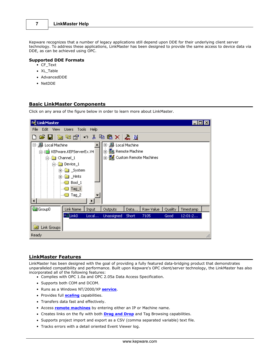Kepware recognizes that a number of legacy applications still depend upon DDE for their underlying client server technology. To address these applications, LinkMaster has been designed to provide the same access to device data via DDE, as can be achieved using OPC.

## **Supported DDE Formats**

- CF\_Text
- XL Table
- AdvancedDDE
- NetDDE

## <span id="page-7-0"></span>**Basic LinkMaster Components**

Click on any area of the figure below in order to learn more about LinkMaster.



## <span id="page-7-1"></span>**LinkMaster Features**

LinkMaster has been designed with the goal of providing a fully featured data-bridging product that demonstrates unparalleled compatibility and performance. Built upon Kepware's OPC client/server technology, the LinkMaster has also incorporated all of the following features:

- Complies with OPC 1.0a and OPC 2.05a Data Access Specification.
- Supports both COM and DCOM.
- Runs as a Windows NT/2000/XP **[service](#page-43-0)**.
- **•** Provides full **[scaling](#page-39-0)** capabilities.
- Transfers data fast and effectively.
- Access **[remote machines](#page-9-1)** by entering either an IP or Machine name.
- Creates links on the fly with both **[Drag and Drop](#page-12-0)** and Tag Browsing capabilities.
- Supports project import and export as a CSV (comma separated variable) text file.
- Tracks errors with a detail oriented Event Viewer log.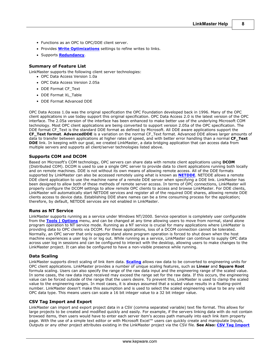**8**

- Functions as an OPC to OPC/DDE client server.
- **Provides [Write Optimizations](#page-49-0)** settings to refine writes to links.
- Supports **[Redundancy](#page-16-0)**.

## **Summary of Feature List**

LinkMaster supports the following client server technologies:

- OPC Data Access Version 1.0a
- OPC Data Access Version 2.05a
- DDE Format CF\_Text
- DDE Format XL\_Table
- DDE Format Advanced DDE

OPC Data Access 1.0a was the original specification the OPC Foundation developed back in 1996. Many of the OPC client applications in use today support this original specification. OPC Data Access 2.0 is the latest version of the OPC interface. The 2.05a version of the interface has been enhanced to make better use of the underlying Microsoft COM technology. Most OPC client applications are being converted to support version 2.05a of the OPC specification. The DDE format CF\_Text is the standard DDE format as defined by Microsoft. All DDE aware applications support the **CF\_Text format**. **AdvancedDDE** is a variation on the normal CF\_Text format. Advanced DDE allows larger amounts of data to transfer between applications at higher rates of speed, and with better error handling than a normal **CF\_Text DDE** link. In keeping with our goal, we created LinkMaster, a data bridging application that can access data from multiple servers and supports all client/server technologies listed above.

## **Supports COM and DCOM**

Based on Microsoft's COM technology, OPC servers can share data with remote client applications using **DCOM** (Distributed COM). DCOM is used to use a single OPC server to provide data to client applications running both locally and on remote machines. DDE is not without its own means of allowing remote access. All of the DDE formats supported by LinkMaster can also be accessed remotely using what is known as **[NETDDE](#page-10-0)**. NETDDE allows a remote DDE client application to use the machine name of a remote DDE server when specifying a DDE link. LinkMaster has been designed to allow both of these methods of remote server access. In terms of OPC connections, LinkMaster will properly configure the DCOM settings to allow remote OPC clients to access and browse LinkMaster. For DDE clients, LinkMaster will automatically start NETDDE services and register all of the required DDE shares, allowing remote DDE clients access to device data. Establishing DDE share names can be a time consuming process for the application; therefore, by default, NETDDE services are not enabled in LinkMaster.

## **Runs as NT Service**

LinkMaster supports running as a service under Windows NT/2000. Service operation is completely user configurable from the **[Tools | Options](#page-40-0)** menu, and can be changed at any time allowing users to move from normal, stand alone program operation to NT service mode. Running as a NT service is crucial for many applications where LinkMaster is providing data to OPC clients via DCOM. For these applications, loss of a DCOM connection cannot be tolerated. Normally, an OPC server that only supports stand alone program operation is forced to shut down when the host machine experiences a user log in or log out. While running as a service, LinkMaster can continue to supply OPC data across user log in sessions and can be configured to interact with the desktop, allowing users to make changes to the LinkMaster project. It can also be configured to have a non-visible presence while running.

## **Data Scaling**

LinkMaster supports direct scaling of link item data. **[Scaling](#page-39-0)** allows raw data to be converted to engineering units for OPC client applications. LinkMaster provides a number of unique scaling features, such as **Linear** and **Square Root** formula scaling. Users can also specify the range of the raw data input and the engineering range of the scaled value. In some cases, the raw data input received may exceed the range set for the raw data. If this occurs, the engineering value can be forced outside of the range that the users desire. To prevent this, LinkMaster is used to clamp the scaled value to the engineering ranges. In most cases, it is always assumed that a scaled value results in a floating-point number. LinkMaster doesn't make this assumption and is used to select the scaled engineering value to be any valid OPC data type. This means users can scale a 16 bit integer value to a 32 bit integer value.

## **CSV Tag Import and Export**

LinkMaster can import and export project data in a CSV (comma separated variable) text file format. This allows for large projects to be created and modified quickly and easily. For example, if the servers linking data with do not contain browsed items, then users would have to enter each server item's access path manually into each link item property page. With the use of a simple text editor or with Microsoft Excel™ users can quickly create and manipulate Inputs, Outputs or any other project attributes existing in the LinkMaster project via the CSV file. **See Also: [CSV Tag Import](#page-13-0)**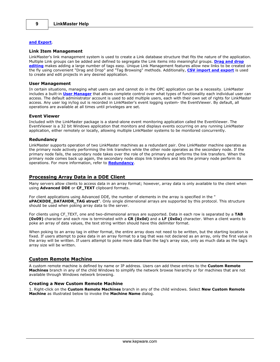## **[and Export](#page-13-0)**.

#### **Link Item Management**

LinkMaster's link management system is used to create a Link database structure that fits the nature of the application. Multiple Link groups can be added and defined to segregate the Link items into meaningful groups. **[Drag and drop](#page-12-0) [editing](#page-12-0)** makes adding a large number of tags easy. Unique Link Management features allow new links to be created on the fly using convenient "Drag and Drop" and "Tag Browsing" methods. Additionally, **[CSV import and export](#page-13-0)** is used to create and edit projects in any desired application.

#### **User Management**

In certain situations, managing what users can and cannot do in the OPC application can be a necessity. LinkMaster includes a built-in **[User Manager](#page-17-0)** that allows complete control over what types of functionality each individual user can access. The default administrator account is used to add multiple users, each with their own set of rights for LinkMaster access. Any user log in/log out is recorded in LinkMaster's event logging system- the EventViewer. By default, all operations are available at all times until priveleges are set.

#### **Event Viewer**

Included with the LinkMaster package is a stand-alone event monitoring application called the EventViewer. The EventViewer is a 32 bit Windows application that monitors and displays events occurring on any running LinkMaster application, either remotely or locally, allowing multiple LinkMaster systems to be monitored concurrently.

#### **Redundancy**

LinkMaster supports operation of two LinkMaster machines as a redundant pair. One LinkMaster machine operates as the primary node actively performing the link transfers while the other node operates as the secondary node. If the primary node fails, the secondary node takes over the role of the primary and performs the link transfers. When the primary node comes back up again, the secondary node stops link transfers and lets the primary node perform its operations. For more information, refer to **[Redundancy](#page-56-0)**.

#### <span id="page-9-0"></span>**Processing Array Data in a DDE Client**

Many servers allow clients to access data in an array format; however, array data is only available to the client when using **Advanced DDE** or **CF\_TEXT** clipboard formats.

For client applications using Advanced DDE, the number of elements in the array is specified in the " **sPACKDDE\_DATAHDR\_TAG struct**". Only single dimensional arrays are supported by this protocol. This structure should be used when poking array data to the server.

For clients using CF\_TEXT, one and two-dimensional arrays are supported. Data in each row is separated by a **TAB (0x09)** character and each row is terminated with a **CR (0x0d)** and a **LF (0x0a)** character. When a client wants to poke an array of data values, the text string written should have this delimiter format.

When poking to an array tag in either format, the entire array does not need to be written, but the starting location is fixed. If users attempt to poke data in an array format to a tag that was not declared as an array, only the first value in the array will be written. If users attempt to poke more data than the tag's array size, only as much data as the tag's array size will be written.

#### <span id="page-9-1"></span>**Custom Remote Machine**

A custom remote machine is defined by name or IP address. Users can add these entries to the **Custom Remote Machines** branch in any of the child Windows to simplify the network browse hierarchy or for machines that are not available through Windows network browsing.

## **Creating a New Custom Remote Machine**

1. Right-click on the **Custom Remote Machines** branch in any of the child windows. Select **New Custom Remote Machine** as illustrated below to invoke the **Machine Name** dialog.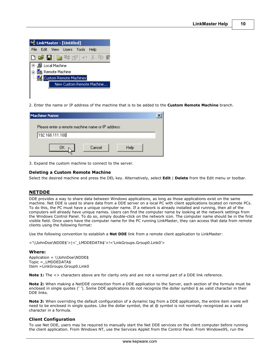| <b>Frauch LinkMaster - [Untitled]</b> |                                                          |  |                       |  |      |  |  |
|---------------------------------------|----------------------------------------------------------|--|-----------------------|--|------|--|--|
| File                                  |                                                          |  | Edit View Users Tools |  | Help |  |  |
|                                       |                                                          |  | 口声目 医物密 口不胜           |  |      |  |  |
|                                       | ┃甲・ <b>鳥</b> Local Machine<br><b>⊞_ B</b> Remote Machine |  |                       |  |      |  |  |
|                                       | Custom Remote Machines                                   |  |                       |  |      |  |  |
|                                       | New Custom Remote Machine                                |  |                       |  |      |  |  |
|                                       |                                                          |  |                       |  |      |  |  |

2. Enter the name or IP address of the machine that is to be added to the **Custom Remote Machine** branch.

| <b>Machine Name</b>                               |        |      |  |
|---------------------------------------------------|--------|------|--|
| Please enter a remote machine name or IP address: |        |      |  |
| 192.168.111.100                                   |        |      |  |
|                                                   | Cancel | Help |  |

3. Expand the custom machine to connect to the server.

#### **Deleting a Custom Remote Machine**

Select the desired machine and press the DEL key. Alternatively, select **Edit** | **Delete** from the Edit menu or toolbar.

## <span id="page-10-0"></span>**NETDDE**

DDE provides a way to share data between Windows applications, as long as those applications exist on the same machine. Net DDE is used to share data from a DDE server on a local PC with client applications located on remote PCs. To do this, the PC must have a unique computer name. If a network is already installed and running, then all of the computers will already have unique names. Users can find the computer name by looking at the network settings from the Windows Control Panel. To do so, simply double-click on the network icon. The computer name should be in the first visible field. Once users have the computer name for the PC running LinkMaster, they can access that data from remote clients using the following format:

Use the following convention to establish a **Net DDE** link from a remote client application to LinkMaster:

<'\\JohnDoe\NDDE\$'>|<'\_LMDDEDATA\$'>!<'LinkGroups.Group0.Link0'>

#### **Where:**

Application = \\JohnDoe\NDDE\$ Topic =\_LMDDEDATA\$ Item =LinkGroups.Group0.Link0

**Note 1:** The  $\lt$  characters above are for clarity only and are not a normal part of a DDE link reference.

**Note 2:** When making a NetDDE connection from a DDE application to the Server, each section of the formula must be enclosed in single quotes (' '). Some DDE applications do not recognize the dollar symbol \$ as valid character in their DDE links.

**Note 3:** When overriding the default configuration of a dynamic tag from a DDE application, the entire item name will need to be enclosed in single quotes. Like the dollar symbol, the at @ symbol is not normally recognized as a valid character in a formula.

#### **Client Configuration**

To use Net DDE, users may be required to manually start the Net DDE services on the client computer before running the client application. From Windows NT, use the Services Applet from the Control Panel. From Windows95, run the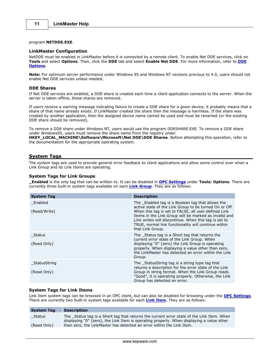#### program **NETDDE.EXE**.

#### **LinkMaster Configuration**

NetDDE must be enabled in LinkMaster before it is connected by a remote client. To enable Net DDE services, click on **Tools** and select **Options**. Then, click the **DDE** tab and select **Enable Net DDE**. For more information, refer to **[DDE](#page-55-0) [Options](#page-55-0)**.

**Note:** For optimum server performance under Windows 95 and Windows NT versions previous to 4.0, users should not enable Net DDE services unless needed.

#### **DDE Shares**

If Net DDE services are enabled, a DDE share is created each time a client application connects to the server. When the server is taken offline, these shares are removed.

If users recieve a warning message indicating failure to create a DDE share for a given device, it probably means that a share of that name already exists. If LinkMaster created the share then the message is harmless. If the share was created by another application, then the assigned device name cannot be used and must be renamed (or the existing DDE share should be removed).

To remove a DDE share under Windows NT, users would use the program DDESHARE.EXE. To remove a DDE share under Windows95, users must remove the share name from the registry under **HKEY\_LOCAL\_MACHINE\Software\Microsoft\Net DDE\DDE Shares**. Before attempting this operation, refer to the documentation for the appropriate operating system.

## <span id="page-11-0"></span>**System Tags**

The system tags are used to provide general error feedback to client applications and allow some control over when a Link Group and its Link Items are operating.

#### **System Tags for Link Groups**

**\_Enabled** is the only tag that can be written to. It can be disabled in **[OPC Settings](#page-52-0)** under **Tools**| **Options**. There are currently three built-in system tags available on each **[Link Group](#page-33-0)**. They are as follows:

| <b>System Tag</b>           | <b>Description</b>                                                                                                                                                                                                                                                                                                                                               |
|-----------------------------|------------------------------------------------------------------------------------------------------------------------------------------------------------------------------------------------------------------------------------------------------------------------------------------------------------------------------------------------------------------|
| Enabled<br>(Read/Write)     | The Enabled tag is a Boolean tag that allows the<br>active state of the Link Group to be turned On or Off.<br>When this tag is set to FALSE, all user-defined Link<br>Items in the Link Group will be marked as invalid and<br>Link writes will discontinue. When this tag is set to<br>TRUE, normal link functionality will continue within<br>that Link Group. |
| Status<br>(Read Only)       | The Status tag is a Short tag that returns the<br>current error state of the Link Group. When<br>displaying "0" (zero) the Link Group is operating<br>properly. When displaying a value other than zero,<br>the LinkMaster has detected an error within the Link<br>Group.                                                                                       |
| StatusString<br>(Read Only) | The StatusString tag is a string type tag that<br>returns a description for the error state of the Link<br>Group in string format. When the Link Group reads<br>"Good", it is operating properly. Otherwise, the Link<br>Group has detected an error.                                                                                                            |

## **System Tags for Link Items**

Link Item system tags can be browsed in an OPC client, but can also be disabled for browsing under the **[OPC Settings](#page-52-0)**. There are currently two built-in system tags available for each **[Link Item](#page-33-0)**. They are as follows:

| Status                                                                               | <b>System Tag</b> | <b>Description</b>                                                                        |
|--------------------------------------------------------------------------------------|-------------------|-------------------------------------------------------------------------------------------|
|                                                                                      |                   | The Status tag is a Short tag that returns the current error state of the Link Item. When |
|                                                                                      |                   | displaying "0" (zero), the Link Item is operating properly. When displaying a value other |
| than zero, the LinkMaster has detected an error within the Link Item.<br>(Read Only) |                   |                                                                                           |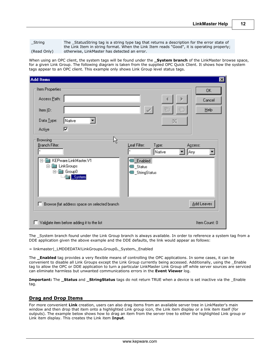\_String

(Read Only)

The \_StatusString tag is a string type tag that returns a description for the error state of the Link Item in string format. When the Link Item reads "Good", it is operating properly; otherwise, LinkMaster has detected an error.

When using an OPC client, the system tags will be found under the **\_System branch** of the LinkMaster browse space, for a given Link Group. The following diagram is taken from the supplied OPC Quick Client. It shows how the system tags appear to an OPC client. This example only shows Link Group level status tags.

| <b>Add Items</b>                                                                                                                                                                                                                                                            | $\mathbf{x}$         |
|-----------------------------------------------------------------------------------------------------------------------------------------------------------------------------------------------------------------------------------------------------------------------------|----------------------|
| Item Properties<br>Access Path:<br>٣<br>€<br>Item ID:<br>Data Type:<br>Native<br>図<br>⊽<br>Active<br>ß<br>Browsing                                                                                                                                                          | 0K<br>Cancel<br>Help |
| Branch Filter:<br>Leaf Filter:<br>Type:<br>Access:<br>$\boldsymbol{\times}$<br>×<br>Native<br>Any<br>KEPware.LinkMaster.V1<br><b>B</b> _Enabled<br>冃<br>LinkGroups<br>Fŀ<br><b>■</b> _Status<br>œ<br>Group0<br>Ė- <b>ė</b><br><b>6</b> StringStatus<br><b>Excess</b> System |                      |
| Browse flat address space on selected branch<br>U                                                                                                                                                                                                                           | Add Leaves           |
| Validate item before adding it to the list<br>ш                                                                                                                                                                                                                             | Item Count: 0        |

The \_System branch found under the Link Group branch is always available. In order to reference a system tag from a DDE application given the above example and the DDE defaults, the link would appear as follows:

= linkmaster|\_LMDDEDATA!LinkGroups**.**Group0**.**\_System**.**\_Enabled

The **\_Enabled** tag provides a very flexible means of controlling the OPC applications. In some cases, it can be convenient to disable all Link Groups except the Link Group currently being accessed. Additionally, using the Enable tag to allow the OPC or DDE application to turn a particular LinkMaster Link Group off while server sources are serviced can eliminate harmless but unwanted communications errors in the **Event Viewer** log.

**Important:** The **\_Status** and **\_StringStatus** tags do not return TRUE when a device is set inactive via the \_Enable tag.

## <span id="page-12-0"></span>**Drag and Drop Items**

For more convenient **Link** creation, users can also drag items from an available server tree in LinkMaster's main window and then drop that item onto a highlighted Link group icon, the Link item display or a link item itself (for outputs). The example below shows how to drag an item from the server tree to either the highlighted Link group or Link item display. This creates the Link item **Input**.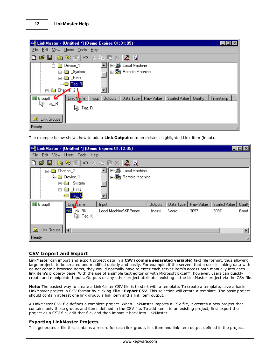| <b>M</b> LinkMaster - [Untitled *] (Demo Expires 01:31:05)<br>$\overline{\phantom{a}}$ $\overline{\phantom{a}}$ $\overline{\phantom{a}}$ $\overline{\phantom{a}}$ $\overline{\phantom{a}}$ |  |
|--------------------------------------------------------------------------------------------------------------------------------------------------------------------------------------------|--|
| Edit View Users Tools Help<br><b>File</b>                                                                                                                                                  |  |
| <del>ゴ 日 をなぎ へ メ ね 電 ×   太 国</del>                                                                                                                                                         |  |
| ⊞∵⊞<br>Local Machine<br><b>்</b> Device_1                                                                                                                                                  |  |
| 由 - Janote Machine<br>் பி்ப்ப்ப்பட்டது. System                                                                                                                                            |  |
| <b>்∎</b> Hints                                                                                                                                                                            |  |
| $Tag$ $R$                                                                                                                                                                                  |  |
| a Chapvel 2<br>F-1                                                                                                                                                                         |  |
| <b>Group0</b><br>Link Name<br>К<br>Data Type<br>Raw Value<br>Scaled Value<br>Timestamp<br>Quality<br><b>Outputs</b><br>Input                                                               |  |
| \િ Tag_R<br>\િ Tag_R                                                                                                                                                                       |  |
| Link Groups<br><b>ICK</b>                                                                                                                                                                  |  |
| Ready                                                                                                                                                                                      |  |

The example below shows how to add a **Link Output** onto an existent highlighted Link item (input).

|                       |                             | 『 LinkMaster - [Untitled *] (Demo Expires 01:12:05) |                |           |           |              |         |
|-----------------------|-----------------------------|-----------------------------------------------------|----------------|-----------|-----------|--------------|---------|
| File                  | Edit View Users Tools Help  |                                                     |                |           |           |              |         |
| D                     |                             | FEを装置してもセメA型                                        |                |           |           |              |         |
| <b>். ெ</b> Channel_2 |                             | 国…鳳<br>Local Machine                                |                |           |           |              |         |
|                       | <b>E</b> Device_1           | <b>⊞ Remote Machine</b>                             |                |           |           |              |         |
|                       | ்<br>⊟- <u>ண</u> ெ _ System |                                                     |                |           |           |              |         |
|                       | <b>ங்</b> ⊞ Hints           |                                                     |                |           |           |              |         |
|                       | $\Box$ Tag K                |                                                     |                |           |           |              |         |
| <b>Co</b> Group 0     | Link Name                   | Input                                               | <b>Outputs</b> | Data Type | Raw Value | Scaled Value | Quality |
|                       | <b>Z</b> Link_RK            | Local Machine\KEPware                               | Unassi         | Word      | 3097      | 3097         | Good    |
|                       | \િ Tag_K                    |                                                     |                |           |           |              |         |
|                       |                             |                                                     |                |           |           |              |         |
| G Link Groups   4     |                             |                                                     |                |           |           |              |         |
| Ready                 |                             |                                                     |                |           |           |              |         |

## <span id="page-13-0"></span>**CSV Import and Export**

LinkMaster can import and export project data in a **CSV (comma separated variable)** text file format, thus allowing large projects to be created and modified quickly and easily. For example, if the servers that a user is linking data with do not contain browsed items, they would normally have to enter each server item's access path manually into each link item's property page. With the use of a simple text editor or with Microsoft Excel™, however, users can quickly create and manipulate Inputs, Outputs or any other project attributes existing in the LinkMaster project via the CSV file.

**Note:** The easiest way to create a LinkMaster CSV file is to start with a template. To create a template, save a basic LinkMaster project in CSV format by clicking **File** | **Export CSV**. This selection will create a template. The basic project should contain at least one link group, a link item and a link item output.

A LinkMaster CSV file defines a complete project. When LinkMaster imports a CSV file, it creates a new project that contains only those groups and items defined in the CSV file. To add items to an existing project, first export the project as a CSV file, edit that file, and then import it back into LinkMaster.

## **Exporting LinkMaster Projects**

This generates a file that contains a record for each link group, link item and link item output defined in the project.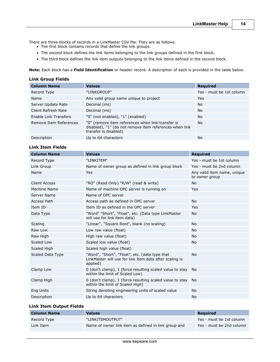There are three blocks of records in a LinkMaster CSV file. They are as follows:

- The first block contains records that define the link groups.
- The second block defines the link items belonging to the link groups defined in the first block.
- The third block defines the link item outputs belonging to the link items defined in the second block.

**Note:** Each block has a **Field Identification** or header record. A description of each is provided in the table below.

## **Link Group Fields**

| <b>Column Name</b>     | <b>Values</b>                                                                                                                         | <b>Required</b>          |
|------------------------|---------------------------------------------------------------------------------------------------------------------------------------|--------------------------|
| Record Type            | "LINKGROUP"                                                                                                                           | Yes - must be 1st column |
| Name                   | Any valid group name unique to project                                                                                                | Yes                      |
| Server Update Rate     | Decimal (ms)                                                                                                                          | <b>No</b>                |
| Client Refresh Rate    | Decimal (ms)                                                                                                                          | <b>No</b>                |
| Enable Link Transfers  | "0" (not enabled), "1" (enabled)                                                                                                      | <b>No</b>                |
| Remove Item References | "0" (remove item references when link transfer is<br>disabled), "1" (do not remove item references when link<br>transfer is disabled) | <b>No</b>                |
| Description            | Up to 64 characters                                                                                                                   | <b>No</b>                |

## **Link Item Fields**

| <b>Column Name</b>   | <b>Values</b>                                                                                                         | <b>Required</b>                               |
|----------------------|-----------------------------------------------------------------------------------------------------------------------|-----------------------------------------------|
| Record Type          | "LINKITEM"                                                                                                            | Yes - must be 1st column                      |
| Link Group           | Name of owner group as defined in link group block                                                                    | Yes - must be 2nd column                      |
| Name                 | <b>Yes</b>                                                                                                            | Any valid item name, unique<br>to owner group |
| <b>Client Access</b> | "RO" (Read Only) "R/W" (read & write)                                                                                 | <b>No</b>                                     |
| Machine Name         | Name of machine OPC server is running on                                                                              | <b>Yes</b>                                    |
| Server Name          | Name of OPC server                                                                                                    |                                               |
| Access Path          | Access path as defined in OPC server                                                                                  | <b>No</b>                                     |
| Item ID              | Item ID as defined in the OPC server                                                                                  | Yes                                           |
| Data Type            | "Word" "Short", "Float", etc. (Data type LinkMaster<br>will use for link item data)                                   | No.                                           |
| Scaling              | "Linear", "Square Root", blank (no scaling)                                                                           | <b>No</b>                                     |
| Raw Low              | Low raw value (float)                                                                                                 | No.                                           |
| Raw High             | High raw value (float)                                                                                                | <b>No</b>                                     |
| Scaled Low           | Scaled low value (float)                                                                                              | <b>No</b>                                     |
| Scaled High          | Scaled high value (float)                                                                                             |                                               |
| Scaled Data Type     | "Word", "Short", "Float", etc. (data type that<br>LinkMaster will use for link item data after scaling is<br>applied) | <b>No</b>                                     |
| Clamp Low            | 0 (don't clamp), 1 (force resulting scaled value to stay<br>within the limit of Scaled Low)                           | No                                            |
| Clamp High           | 0 (don't clamp), 1 (force resulting scaled value to stay<br>within the limit of Scaled High)                          | No.                                           |
| Eng Units            | String denoting engineering units of scaled value                                                                     | <b>No</b>                                     |
| Description          | Up to 64 characters                                                                                                   | No                                            |

## **Link Item Output Fields**

| Column Name | <b>Values</b>                                        | Required                 |
|-------------|------------------------------------------------------|--------------------------|
| Record Type | "LINKITEMOUTPUT"                                     | Yes - must be 1st column |
| Link Item   | Name of owner link item as defined in link group and | Yes - must be 2nd column |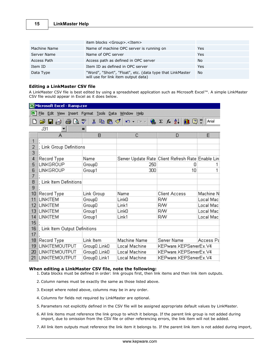|              | item blocks <group>.<item></item></group>                                                        |           |
|--------------|--------------------------------------------------------------------------------------------------|-----------|
| Machine Name | Name of machine OPC server is running on                                                         | Yes       |
| Server Name  | Name of OPC server                                                                               | Yes       |
| Access Path  | Access path as defined in OPC server                                                             | <b>No</b> |
| Item ID      | Item ID as defined in OPC server                                                                 | Yes       |
| Data Type    | "Word", "Short", "Float", etc. (data type that LinkMaster<br>will use for link item output data) | <b>No</b> |

## **Editing a LinkMaster CSV file**

A LinkMaster CSV file is best edited by using a spreadsheet application such as Microsoft Excel™. A simple LinkMaster CSV file would appear in Excel as it does below.

| Microsoft Excel - Ramp.csv |                                                                       |                                       |                   |                                                                                     |           |  |
|----------------------------|-----------------------------------------------------------------------|---------------------------------------|-------------------|-------------------------------------------------------------------------------------|-----------|--|
|                            | File<br>Edit<br>Insert Format Tools<br>View<br>Data<br>Window<br>Help |                                       |                   |                                                                                     |           |  |
|                            | 6 Q<br>C H<br>B                                                       | ₩<br>るも色ぐ                             | KO H<br>Cities.   | $2 f_*$ $\frac{1}{2}$ $\left\  \frac{1}{2} \right\ $ $\left\  \frac{1}{2} \right\ $ | Arial     |  |
|                            | J31                                                                   | =                                     |                   |                                                                                     |           |  |
|                            | А                                                                     | B                                     | С                 | D                                                                                   | E         |  |
| 1                          |                                                                       |                                       |                   |                                                                                     |           |  |
| 2                          | ; Link Group Definitions                                              |                                       |                   |                                                                                     |           |  |
| 3                          |                                                                       |                                       |                   |                                                                                     |           |  |
| 4                          | Record Type                                                           | Name                                  |                   | Server Update Rate Client Refresh Rate Enable Lin                                   |           |  |
| 5                          | LINKGROUP                                                             | GroupD                                | 250               | Ω                                                                                   |           |  |
| 6                          | LINKGROUP                                                             | Group1                                | 300               | 10                                                                                  | 1         |  |
| 7                          |                                                                       |                                       |                   |                                                                                     |           |  |
| 8<br>9                     | ; Link Item Definitions                                               |                                       |                   |                                                                                     |           |  |
| 10                         |                                                                       |                                       | Name              | <b>Client Access</b>                                                                | Machine N |  |
| 11                         | Record Type<br><b>LINKITEM</b>                                        | Link Group                            | Link <sub>0</sub> | <b>R/W</b>                                                                          | Local Mac |  |
| 12                         | <b>LINKITEM</b>                                                       | GroupO<br>GroupO                      | Link1             | RW                                                                                  | Local Mac |  |
| 13                         | <b>LINKITEM</b>                                                       | Group1                                | LinkO             | <b>R/W</b>                                                                          | Local Mac |  |
| 14                         | <b>LINKITEM</b>                                                       | Group1                                | Link1             | RW                                                                                  | Local Mac |  |
| 15                         |                                                                       |                                       |                   |                                                                                     |           |  |
| 16                         | ; Link Item Output Definitions                                        |                                       |                   |                                                                                     |           |  |
| 17                         |                                                                       |                                       |                   |                                                                                     |           |  |
| 18                         | Record Type                                                           | Link Item                             | Machine Name      | Server Name                                                                         | Access Pa |  |
| 19                         | LINKITEMOUTPUT                                                        | Group0.Link0                          | Local Machine     | KEPware.KEPServerEx.V4                                                              |           |  |
| 20                         | LINKITEMOUTPUT                                                        | Group <sub>O.</sub> Link <sub>O</sub> | Local Machine     | KEPware.KEPServerEx.V4                                                              |           |  |
| 21                         | <b>LINKITEMOUTPUT</b>                                                 | GroupD.Link1                          | Local Machine     | KEPware.KEPServerEx.V4                                                              |           |  |
|                            |                                                                       |                                       |                   |                                                                                     |           |  |

## **When editing a LinkMaster CSV file, note the following:**

- 1. Data blocks must be defined in order: link groups first, then link items and then link item outputs.
- 2. Column names must be exactly the same as those listed above.
- 3. Except where noted above, columns may be in any order.
- 4. Columns for fields not required by LinkMaster are optional.
- 5. Parameters not explicitly defined in the CSV file will be assigned appropriate default values by LinkMaster.
- 6. All link items must reference the link group to which it belongs. If the parent link group is not added during import, due to omission from the CSV file or other referencing errors, the link item will not be added.
- 7. All link item outputs must reference the link item it belongs to. If the parent link item is not added during import,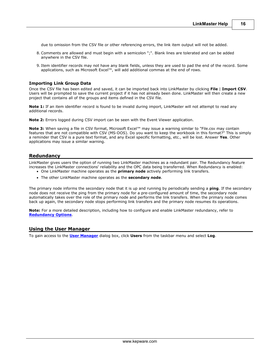due to omission from the CSV file or other referencing errors, the link item output will not be added.

- 8. Comments are allowed and must begin with a semicolon ";". Blank lines are tolerated and can be added anywhere in the CSV file.
- 9. Item identifier records may not have any blank fields, unless they are used to pad the end of the record. Some applications, such as Microsoft Excel™, will add additional commas at the end of rows.

#### **Importing Link Group Data**

Once the CSV file has been edited and saved, it can be imported back into LinkMaster by clicking **File** | **Import CSV**. Users will be prompted to save the current project if it has not already been done. LinkMaster will then create a new project that contains all of the groups and items defined in the CSV file.

**Note 1:** If an item identifier record is found to be invalid during import, LinkMaster will not attempt to read any additional records.

**Note 2:** Errors logged during CSV import can be seen with the Event Viewer application.

Note 3: When saving a file in CSV format, Microsoft Excel™ may issue a warning similar to "File.csv may contain features that are not compatible with CSV (MS-DOS). Do you want to keep the workbook in this format?" This is simply a reminder that CSV is a pure text format, and any Excel specific formatting, etc., will be lost. Answer **Yes**. Other applications may issue a similar warning.

## <span id="page-16-0"></span>**Redundancy**

LinkMaster gives users the option of running two LinkMaster machines as a redundant pair. The Redundancy feature increases the LinkMaster connections' reliability and the OPC data being transferred. When Redundancy is enabled: One LinkMaster machine operates as the **primary node** actively performing link transfers.

The other LinkMaster machine operates as the **secondary node**.

The primary node informs the secondary node that it is up and running by periodically sending a **ping**. If the secondary node does not receive the ping from the primary node for a pre-configured amount of time, the secondary node automatically takes over the role of the primary node and performs the link transfers. When the primary node comes back up again, the secondary node stops performing link transfers and the primary node resumes its operations.

**Note:** For a more detailed description, including how to configure and enable LinkMaster redundancy, refer to **[Redundancy Options](#page-56-0)**.

#### <span id="page-16-1"></span>**Using the User Manager**

To gain access to the **[User Manager](#page-17-0)** dialog box, click **Users** from the taskbar menu and select **Log**.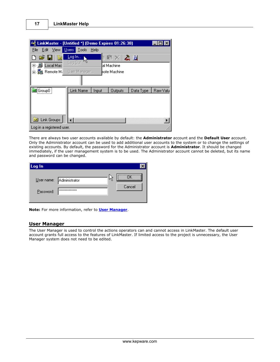| E <mark>d</mark> LinkMaster - [Untitled *] (Demo Expires 01:26:38) |                           |         |                                   |           |          |
|--------------------------------------------------------------------|---------------------------|---------|-----------------------------------|-----------|----------|
| Edit View<br>File                                                  | Users   Tools             | $He$ lp |                                   |           |          |
| $\mathcal{L} = \mathbf{E} \cdot \mathbf{E}$                        | Log In<br>Log <u>O</u> ut |         | $\mathbf{B}$ . An $\mathbf{B}$ is |           |          |
| 甲- <b>鳥 Local Mac</b>                                              |                           |         | al Machine                        |           |          |
| 古 - 鶗 Remote M                                                     | User Manager              |         | hote Machine                      |           |          |
|                                                                    |                           |         |                                   |           |          |
| Group0                                                             | Link Name                 | Input   | <b>Outputs</b>                    | Data Type | Raw Valu |
| Sil Link Groups                                                    |                           |         |                                   |           |          |
|                                                                    |                           |         |                                   |           |          |
| Log in a registered user.                                          |                           |         |                                   |           |          |

There are always two user accounts available by default: the **Administrator** account and the **Default User** account. Only the Administrator account can be used to add additional user accounts to the system or to change the settings of existing accounts. By default, the password for the Administrator account is **Administrator**. It should be changed immediately, if the user management system is to be used. The Administrator account cannot be deleted, but its name and password can be changed.

| Log In    |                                                   |    |        |
|-----------|---------------------------------------------------|----|--------|
| Password: | User name: Administrator<br><b>xxxxxxxxxxxxxx</b> | Μĝ | Cancel |

**Note:** For more information, refer to **[User Manager](#page-17-0)**.

## <span id="page-17-0"></span>**User Manager**

The User Manager is used to control the actions operators can and cannot access in LinkMaster. The default user account grants full access to the features of LinkMaster. If limited access to the project is unnecessary, the User Manager system does not need to be edited.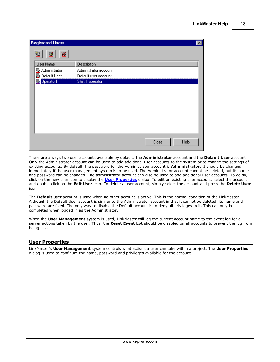| <b>Registered Users</b>                                   |                       |                  | $\vert x \vert$ |
|-----------------------------------------------------------|-----------------------|------------------|-----------------|
| $\mathbf{\underline{x}}$<br>$\overline{\mathcal{L}}$<br>坙 |                       |                  |                 |
| User Name                                                 | Description           |                  |                 |
| Administrator                                             | Administrator account |                  |                 |
| <b>Default User</b>                                       | Default user account. |                  |                 |
| Operator1                                                 | Shift 1 operator      |                  |                 |
|                                                           |                       |                  |                 |
|                                                           |                       |                  |                 |
|                                                           |                       |                  |                 |
|                                                           |                       |                  |                 |
|                                                           |                       |                  |                 |
|                                                           |                       |                  |                 |
|                                                           |                       |                  |                 |
|                                                           |                       |                  |                 |
|                                                           |                       |                  |                 |
|                                                           |                       | Close<br>$He$ lp |                 |
|                                                           |                       |                  |                 |

There are always two user accounts available by default: the **Administrator** account and the **Default User** account. Only the Administrator account can be used to add additional user accounts to the system or to change the settings of existing accounts. By default, the password for the Administrator account is **Administrator**. It should be changed immediately if the user management system is to be used. The Administrator account cannot be deleted, but its name and password can be changed. The administrator account can also be used to add additional user accounts. To do so, click on the new user icon to display the **[User Properties](#page-18-0)** dialog. To edit an existing user account, select the account and double-click on the **Edit User** icon. To delete a user account, simply select the account and press the **Delete User** icon.

The **Default** user account is used when no other account is active. This is the normal condition of the LinkMaster. Although the Default User account is similar to the Administrator account in that it cannot be deleted, its name and password are fixed. The only way to disable the Default account is to deny all privileges to it. This can only be completed when logged in as the Administrator.

When the **User Management** system is used, LinkMaster will log the current account name to the event log for all server actions taken by the user. Thus, the **Reset Event Lot** should be disabled on all accounts to prevent the log from being lost.

## <span id="page-18-0"></span>**User Properties**

LinkMaster's **User Management** system controls what actions a user can take within a project. The **User Properties** dialog is used to configure the name, password and privileges available for the account.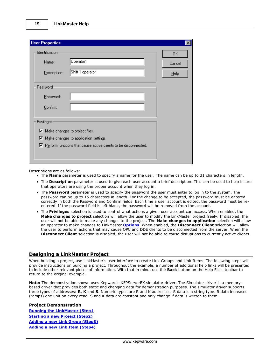| <b>User Properties</b>                  |                                                                          | ×      |
|-----------------------------------------|--------------------------------------------------------------------------|--------|
| <b>Identification</b>                   |                                                                          | 0K     |
| Name:                                   | Operator1                                                                | Cancel |
| Description:                            | Shift 1 operator                                                         | Help   |
| Password                                |                                                                          |        |
| Password:                               |                                                                          |        |
| Confirm:                                |                                                                          |        |
| <b>Privileges:</b>                      |                                                                          |        |
| $\nabla$ Make changes to project files. | $\triangledown$ Make changes to application settings.                    |        |
|                                         | $\nabla$ Perform functions that cause active clients to be disconnected. |        |

Descriptions are as follows:

- The **Name** parameter is used to specify a name for the user. The name can be up to 31 characters in length.
- The **Description** parameter is used to give each user account a brief description. This can be used to help insure that operators are using the proper account when they log in.
- The **Password** parameter is used to specify the password the user must enter to log in to the system. The password can be up to 15 characters in length. For the change to be accepted, the password must be entered correctly in both the Password and Confirm fields. Each time a user account is edited, the password must be reentered. If the password field is left blank, the password will be removed from the account.
- The **Privileges** selection is used to control what actions a given user account can access. When enabled, the **Make changes to project** selection will allow the user to modify the LinkMaster project freely. If disabled, the user will not be able to make any changes to the project. The **Make changes to application** selection will allow an operator to make changes to LinkMaster **[Options](#page-40-1)**. When enabled, the **Disconnect Client** selection will allow the user to perform actions that may cause OPC and DDE clients to be disconnected from the server. When the **Disconnect Client** selection is disabled, the user will not be able to cause disruptions to currently active clients.

## <span id="page-19-0"></span>**Designing a LinkMaster Project**

When building a project, use LinkMaster's user interface to create Link Groups and Link Items. The following steps will provide instructions on building a project. Throughout the example, a number of additional help links will be presented to include other relevant pieces of information. With that in mind, use the **Back** button on the Help File's toolbar to return to the original example.

**Note:** The demonstration shown uses Kepware's KEPServerEX simulator driver. The Simulator driver is a memorybased driver that provides both static and changing data for demonstration purposes. The simulator driver supports three types of addresses: **R**, **K** and **S**. Numeric types are R and K addresses. S data is a string type. R data increases (ramps) one unit on every read. S and K data are constant and only change if data is written to them.

#### **Project Demonstration**

**[Running the LinkMaster \(Step1](#page-20-0) [Starting a new Project \(Step2\)](#page-21-0) [Adding a new Link Group \(Step3\)](#page-21-1) [Adding a new Link Item \(Step4\)](#page-24-0)**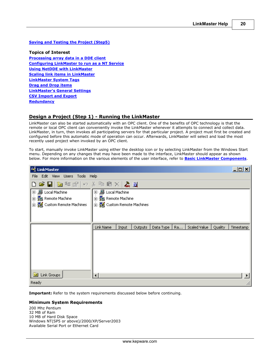## **[Saving and Testing the Project \(Step5\)](#page-28-0)**

**Topics of Interest [Processing array data in a DDE client](#page-9-0) [Configuring LinkMaster to run as a NT Service](#page-43-0) [Using NetDDE with LinkMaster](#page-10-0) [Scaling link items in LinkMaster](#page-39-0) [LinkMaster System Tags](#page-11-0) [Drag and Drop items](#page-12-0) [LinkMaster's General Settings](#page-40-1) [CSV Import and Export](#page-13-0) [Redundancy](#page-16-0)**

## <span id="page-20-0"></span>**Design a Project (Step 1) - Running the LinkMaster**

LinkMaster can also be started automatically with an OPC client. One of the benefits of OPC technology is that the remote or local OPC client can conveniently invoke the LinkMaster whenever it attempts to connect and collect data. LinkMaster, in turn, then invokes all participating servers for that particular project. A project must first be created and configured before this automatic mode of operation can occur. Afterwards, LinkMaster will select and load the most recently used project when invoked by an OPC client.

To start, manually invoke LinkMaster using either the desktop icon or by selecting LinkMaster from the Windows Start menu. Depending on any changes that may have been made to the interface, LinkMaster should appear as shown below. For more information on the various elements of the user interface, refer to **[Basic LinkMaster Components](#page-7-0)**.

| <b>NH</b> LinkMaster       |                                 |       |         |  |  |                               |         | $  \mathbb{Z}$ |
|----------------------------|---------------------------------|-------|---------|--|--|-------------------------------|---------|----------------|
|                            | File Edit View Users Tools Help |       |         |  |  |                               |         |                |
| D S H & \$ @ O & & & X & & |                                 |       |         |  |  |                               |         |                |
|                            | 甲- <b>島</b> Local Machine       |       |         |  |  |                               |         |                |
| 中 <i>。</i> Remote Machine  | 中 <i>。</i> 是 Remote Machine     |       |         |  |  |                               |         |                |
| 由 图 Custom Remote Machines | 由 题 Custom Remote Machines      |       |         |  |  |                               |         |                |
|                            |                                 |       |         |  |  |                               |         |                |
|                            |                                 |       |         |  |  |                               |         |                |
|                            | Link Name                       | Input | Outputs |  |  | Data Type   Ra   Scaled Value | Quality | Timestamp      |
|                            |                                 |       |         |  |  |                               |         |                |
|                            |                                 |       |         |  |  |                               |         |                |
|                            |                                 |       |         |  |  |                               |         |                |
|                            |                                 |       |         |  |  |                               |         |                |
|                            |                                 |       |         |  |  |                               |         |                |
|                            |                                 |       |         |  |  |                               |         |                |
|                            |                                 |       |         |  |  |                               |         |                |
| C Link Groups              | ⊣                               |       |         |  |  |                               |         |                |
| Ready                      |                                 |       |         |  |  |                               |         |                |

**Important:** Refer to the system requirements discussed below before continuing.

## **Minimum System Requirements**

200 Mhz Pentium 32 MB of Ram 10 MB of Hard Disk Space Windows NT(SP5 or above)/2000/XP/Server2003 Available Serial Port or Ethernet Card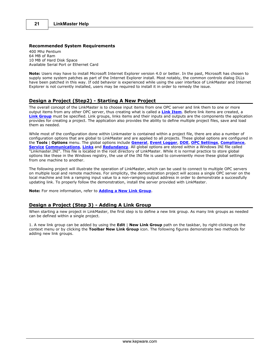#### **Recommended System Requirements**

400 Mhz Pentium 64 MB of Ram 10 MB of Hard Disk Space Available Serial Port or Ethernet Card

**Note:** Users may have to install Microsoft Internet Explorer version 4.0 or better. In the past, Microsoft has chosen to supply some system patches as part of the Internet Explorer install. Most notably, the common controls dialog DLLs have been patched in this way. If odd behavior is experienced while using the user interface of LinkMaster and Internet Explorer is not currently installed, users may be required to install it in order to remedy the issue.

## <span id="page-21-0"></span>**Design a Project (Step2) - Starting A New Project**

The overall concept of the LinkMaster is to choose input items from one OPC server and link them to one or more output items from any other OPC server, thus creating what is called a **[Link Item](#page-35-0)**. Before link items are created, a [Link Group](#page-33-0) must be specified. Link groups, links items and their inputs and outputs are the components the application provides for creating a project. The application also provides the ability to define multiple project files, save and load them as needed.

While most of the configuration done within Linkmaster is contained within a project file, there are also a number of configuration options that are global to LinkMaster and are applied to all projects. These global options are configured in the **Tools** | **Options** menu. The global options include **[General](#page-40-1)**, **[Event Logger](#page-51-0)**, **[DDE](#page-55-0)**, **[OPC Settings](#page-52-0)**, **[Compliance](#page-53-0)**, **[Service](#page-43-0) [Communications](#page-48-0)**, **[Links](#page-49-0)** and **[Redundancy](#page-56-0)**. All global options are stored within a Windows INI file called "Linkmaster.INI". This file is located in the root directory of LinkMaster. While it is normal practice to store global options like these in the Windows registry, the use of the INI file is used to conveniently move these global settings from one machine to another.

The following project will illustrate the operation of LinkMaster, which can be used to connect to multiple OPC servers on multiple local and remote machines. For simplicity, the demonstration project will access a single OPC server on the local machine and link a ramping input value to a non-ramping output address in order to demonstrate a successfully updating link. To properly follow the demonstration, install the server provided with LinkMaster.

**Note:** For more information, refer to **[Adding a New Link Group](#page-21-1)**.

## <span id="page-21-1"></span>**Design a Project (Step 3) - Adding A Link Group**

When starting a new project in LinkMaster, the first step is to define a new link group. As many link groups as needed can be defined within a single project.

1. A new link group can be added by using the **Edit** | **New Link Group** path on the taskbar, by right-clicking on the context menu or by clicking the **Toolbar New Link Group** icon. The following figures demonstrate two methods for adding new link groups.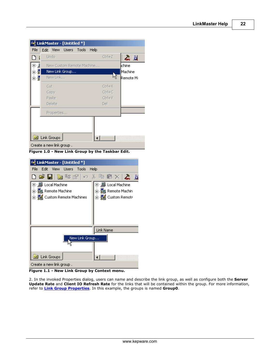|                                                   | 4월 LinkMaster - [Untitled *]   |                                   |  |  |  |  |
|---------------------------------------------------|--------------------------------|-----------------------------------|--|--|--|--|
| File                                              | View Users Tools<br>Edit       | Help                              |  |  |  |  |
|                                                   | Undo                           | Ctrl+Z<br>ふり                      |  |  |  |  |
| ⊡…∭                                               | New Custom Remote Machine      | lchine                            |  |  |  |  |
| Ů.                                                | New Link Group                 | Machine                           |  |  |  |  |
| ≐ ¶                                               | New Link                       | Remote Ma                         |  |  |  |  |
|                                                   | Cut<br>Copy<br>Paste<br>Delete | Ctrl+X<br>Ctrl+C<br>Ctrl+V<br>Del |  |  |  |  |
|                                                   | Properties                     |                                   |  |  |  |  |
| <b>B</b> Link Groups<br>Create a new link group . |                                |                                   |  |  |  |  |

**Figure 1.0 - New Link Group by the Taskbar Edit.**

| E LinkMaster - [Untitled *]                                   |                                                                                                  |
|---------------------------------------------------------------|--------------------------------------------------------------------------------------------------|
| File<br>Edit View Users Tools<br>Help                         |                                                                                                  |
| $\blacksquare$ is a finite set of $\lambda$ is $\blacksquare$ |                                                                                                  |
| $\overline{+}$<br>由 覺 Custom Remote Machines                  | Local Machine<br>⊡∵⊯<br>- 题 Remote Machin<br>$\overline{+}$<br>⊟… <mark>e</mark> n Custom Remotr |
|                                                               | Link Name                                                                                        |
| New Link Group                                                |                                                                                                  |
| Link Groups<br>Œ.                                             |                                                                                                  |
| Create a new link group .                                     |                                                                                                  |

**Figure 1.1 - New Link Group by Context menu.**

2. In the invoked Properties dialog, users can name and describe the link group, as well as configure both the **Server Update Rate** and **Client IO Refresh Rate** for the links that will be contained within the group. For more information, refer to **[Link Group Properties](#page-33-0)**. In this example, the groups is named **Group0**.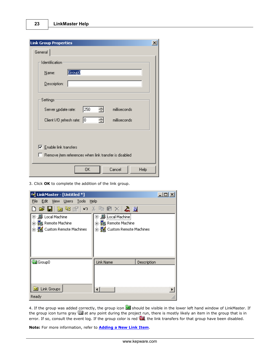| <b>Link Group Properties</b>                                 |  |
|--------------------------------------------------------------|--|
| General                                                      |  |
| Identification                                               |  |
| Group0<br>Name:                                              |  |
| Description:                                                 |  |
| Settings                                                     |  |
| 싂<br>250<br>milliseconds<br>Server update rate:              |  |
| 극<br>Iо<br>milliseconds<br>Client 1/0 refresh rate:          |  |
|                                                              |  |
| $\nabla$ Enable link transfers                               |  |
| $\Box$ Remove item references when link transfer is disabled |  |
| 0K<br>Cancel<br>Help                                         |  |

3. Click **OK** to complete the addition of the link group.

| 4월 LinkMaster - [Untitled *]                                                                                                                                      | $ \Box$ $\times$ |
|-------------------------------------------------------------------------------------------------------------------------------------------------------------------|------------------|
| File Edit View Users Tools<br><b>Help</b>                                                                                                                         |                  |
| DFFFFを留√ი↓●●×F≈■                                                                                                                                                  |                  |
| 甲·· <b>恩</b> [Local Machine]<br>国·思 Local Machine<br><b>⊞_ 是</b> Remote Machine<br>由 鬼 Remote Machine<br>由 题 Custom Remote Machines<br>由 覺 Custom Remote Machines |                  |
| <b>B</b> Group0<br>Link Name<br>Description<br><b>B</b> Link Groups                                                                                               |                  |
| Ready                                                                                                                                                             |                  |

4. If the group was added correctly, the group icon **Solutish** should be visible in the lower left hand window of LinkMaster. If the group icon turns gray at any point during the project run, there is mostly likely an item in the group that is in error. If so, consult the event log. If the group color is red **all**, the link transfers for that group have been disabled.

**Note:** For more information, refer to **[Adding a New Link Item](#page-24-0)**.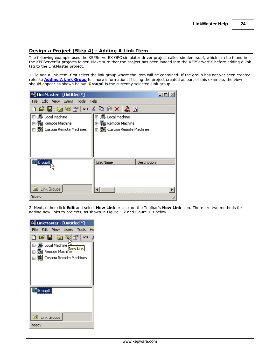## <span id="page-24-0"></span>**Design a Project (Step 4) - Adding A Link Item**

The following example uses the KEPServerEX OPC simulator driver project called simdemo.opf, which can be found in the KEPServerEX projects folder. Make sure that the project has been loaded into the KEPServerEX before adding a link tag to the LinkMaster project.

1. To add a link item, first select the link group where the item will be contained. If the group has not yet been created, refer to **[Adding A Link Group](#page-21-1)** for more information. If using the project created as part of this example, the view should appear as shown below. **Group0** is the currently selected Link group.

| 4월 LinkMaster - [Untitled *]          |                                                | $ \Box$ $\times$ |  |  |  |  |
|---------------------------------------|------------------------------------------------|------------------|--|--|--|--|
| Edit View Users Tools<br>Help<br>File |                                                |                  |  |  |  |  |
|                                       | DFE   をなぎ  っょもほく  太量                           |                  |  |  |  |  |
| 田 黒 Local Machine                     | 国·· <b>鳳 Local Machine</b>                     |                  |  |  |  |  |
| 中。 <b>题</b> Remote Machine            | 由 - 日 Remote Machine                           |                  |  |  |  |  |
| 由 图 Custom Remote Machines            | 由 - <mark>党</mark> 公    Custom Remote Machines |                  |  |  |  |  |
|                                       |                                                |                  |  |  |  |  |
|                                       |                                                |                  |  |  |  |  |
|                                       |                                                |                  |  |  |  |  |
|                                       |                                                |                  |  |  |  |  |
| Group0,                               | Link Name                                      | Description      |  |  |  |  |
|                                       |                                                |                  |  |  |  |  |
|                                       |                                                |                  |  |  |  |  |
|                                       |                                                |                  |  |  |  |  |
| <b>Link Groups</b><br>C.              |                                                |                  |  |  |  |  |
| Ready                                 |                                                |                  |  |  |  |  |

2. Next, either click **Edit** and select **New Link** or click on the Toolbar's **New Link** icon. There are two methods for adding new links to projects, as shown in Figure 1.2 and Figure 1.3 below.

| ष्ट्री LinkMaster - [Untitled *]                                                                                        |
|-------------------------------------------------------------------------------------------------------------------------|
| File Edit View Users Tools He                                                                                           |
| D & 日 & \$16<br>$\sqrt{2}$<br>匣… <b>凰 Local Machine</b><br>New Link<br>中,国 Remote Machine<br>由 显 Custom Remote Machines |
|                                                                                                                         |
| <b>B</b> Group0                                                                                                         |
| <b>Ed</b> Link Groups                                                                                                   |
| Ready                                                                                                                   |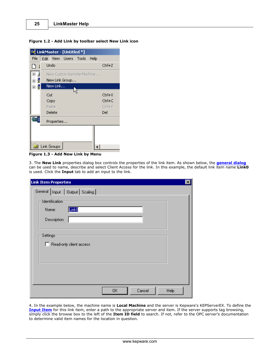#### **Figure 1.2 - Add Link by toolbar select New Link icon**

| E LinkMaster - [Untitled *]        |      |                                             |                  |  |      |        |  |  |  |
|------------------------------------|------|---------------------------------------------|------------------|--|------|--------|--|--|--|
| File                               | Edit |                                             | View Users Tools |  | Help |        |  |  |  |
|                                    |      | Undo                                        |                  |  |      | Ctrl+Z |  |  |  |
| . ۾.<br>پ<br>⊞<br>.ģ<br>∔          |      | New Custom Remote Machine<br>New Link Group |                  |  |      |        |  |  |  |
| $\frac{1}{\vert \mathbf{H} \vert}$ |      | New Link…                                   |                  |  |      |        |  |  |  |
|                                    | Cut  |                                             |                  |  |      | Ctrl+X |  |  |  |
|                                    |      | Copy                                        |                  |  |      | Ctrl+C |  |  |  |
|                                    |      | Paste                                       |                  |  |      | Ctrl+V |  |  |  |
|                                    |      | Delete                                      |                  |  |      | Del    |  |  |  |
|                                    |      | Properties                                  |                  |  |      |        |  |  |  |
|                                    |      |                                             |                  |  |      |        |  |  |  |
|                                    |      |                                             |                  |  |      |        |  |  |  |
| <b>Link Groups</b><br>C.           |      |                                             |                  |  |      |        |  |  |  |

**Figure 1.3 - Add New Link by Menu**

3. The **New Link** properties dialog box controls the properties of the link item. As shown below, the **[general dialog](#page-35-0)** can be used to name, describe and select Client Access for the link. In this example, the default link item name **Link0** is used. Click the **Input** tab to add an input to the link.

| $\mathbf{x}$<br><b>Link Item Properties</b>       |
|---------------------------------------------------|
| General   Input   Output   Scaling                |
| Identification:<br>Link0<br>Name:<br>Description: |
| Settings-<br>Read-only client access              |
|                                                   |
| Cancel<br><b>OK</b><br>Help                       |

4. In the example below, the machine name is **Local Machine** and the server is Kepware's KEPServerEX. To define the **[Input Item](#page-36-0)** for this link item, enter a path to the appropriate server and item. If the server supports tag browsing, simply click the browse box to the left of the **Item ID field** to search. If not, refer to the OPC server's documentation to determine valid item names for the location in question.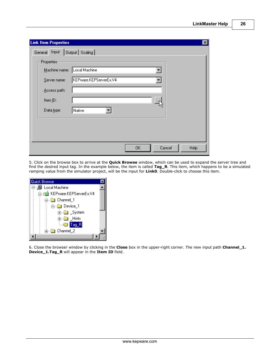| <b>Link Item Properties</b><br>$\vert x \vert$ |
|------------------------------------------------|
| Output   Scaling  <br>General Input            |
| Properties                                     |
| Machine name: Local Machine                    |
| KEPware.KEPServerEx.V4<br>Server name:         |
| Access path:                                   |
| Item ID:                                       |
|                                                |
| Data type:<br>Native                           |
|                                                |
|                                                |
|                                                |
| 0K<br>Cancel<br>Help                           |

5. Click on the browse box to arrive at the **Quick Browse** window, which can be used to expand the server tree and find the desired input tag. In the example below, the item is called **Tag\_R**. This item, which happens to be a simulated ramping value from the simulator project, will be the input for **Link0**. Double-click to choose this item.



6. Close the browser window by clicking in the **Close** box in the upper-right corner. The new input path **Channel\_1. Device\_1.Tag\_R** will appear in the **Item ID** field.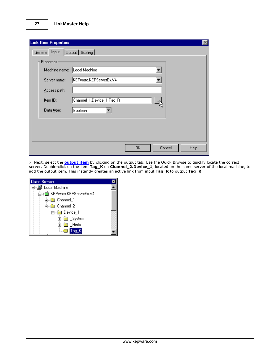| <b>Link Item Properties</b> |                             | $\vert x \vert$ |
|-----------------------------|-----------------------------|-----------------|
| General Input               | Output   Scaling            |                 |
| Properties                  |                             |                 |
|                             | Machine name: Local Machine |                 |
| Server name:                | KEPware.KEPServerEx.V4      |                 |
| Access path:                |                             |                 |
| Item ID:                    | Channel_1.Device_1.Tag_R    |                 |
| Data type:                  | Boolean                     |                 |
|                             |                             |                 |
|                             |                             |                 |
|                             |                             |                 |
|                             | 0K<br>Cancel<br>Help        |                 |

7. Next, select the **[output item](#page-37-0)** by clicking on the output tab. Use the Quick Browse to quickly locate the correct server. Double-click on the item **Tag\_K** on **Channel\_2.Device\_1**, located on the same server of the local machine, to add the output item. This instantly creates an active link from input **Tag\_R** to output **Tag\_K**.

| Quick Browse                 |  |
|------------------------------|--|
| 日 - 鳳 Local Machine          |  |
| 白 - 1 KEPware.KEPServerEx.V4 |  |
|                              |  |
| <b>். © Channel_2</b>        |  |
| <del>்</del> Device_1        |  |
| ட்- <mark>வ</mark> ை _System |  |
| <b>ங்</b> ா் ⊟ints           |  |
|                              |  |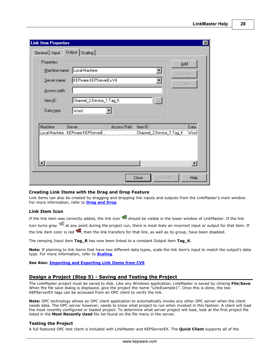**28**

| <b>Link Item Properties</b>                                                                                                                    |             |                                     | $\vert x \vert$                       |
|------------------------------------------------------------------------------------------------------------------------------------------------|-------------|-------------------------------------|---------------------------------------|
| Output Scaling<br>General   Input                                                                                                              |             |                                     |                                       |
| Properties<br>Local Machine<br>Machine name:<br>KEPware.KEPServerEx.V4<br>Server name:<br>Access path:<br>Channel_2.Device_1.Tag_K<br>Item ID: |             | ۰<br>$\ldots$                       | Add<br><b>Remove</b><br>Update        |
| Word<br>Data type:                                                                                                                             |             |                                     |                                       |
| Machine<br>Server<br>Local Machine KEPware.KEPServerE                                                                                          | Access Path | Item ID<br>Channel_2.Device_1.Tag_K | Data<br>Word<br>$\blacktriangleright$ |
|                                                                                                                                                |             | Close<br>Cancel                     | Help                                  |

#### **Creating Link Items with the Drag and Drop Feature**

Link items can also be created by dragging and dropping link inputs and outputs from the LinkMaster's main window. For more information, refer to **[Drag and Drop](#page-12-0)**.

## **Link Item Icon**

If the link item was correctly added, the link icon  $\mathcal{F}$  should be visible in the lower window of LinkMaster. If the link icon turns gray  $\frac{1}{2}$  at any point during the project run, there is most ikely an incorrect input or output for that item. If

the link item color is red  $\overline{\mathcal{F}}$ , then the link transfers for that link, as well as its group, have been disabled.

The ramping Input item **Tag\_R** has now been linked to a constant Output item **Tag\_K**.

**Note:** If planning to link items that have two different data types, scale the link item's input to match the output's data type. For more information, refer to **[Scaling](#page-39-0)**.

**See Also: [Importing and Exporting Link Items from CVS](#page-31-1)**

## <span id="page-28-0"></span>**Design a Project (Step 5) - Saving and Testing the Project**

The LinkMaster project must be saved to disk. Like any Windows application, LinkMaster is saved by clicking **File**|**Save**. When the file save dialog is displayed, give the project the name "LinkExample1". Once this is done, the two KEPServerEX tags can be accessed from an OPC client to verify the link.

**Note:** OPC technology allows an OPC client application to automatically invoke any other OPC server when the client needs data. The OPC server however, needs to know what project to run when invoked in this fashion. A client will load the most recently configured or loaded project. To determine what server project will load, look at the first project file listed in the **Most Recently Used** file list found on the file menu in the server.

## **Testing the Project**

A full featured OPC test client is included with LinkMaster and KEPServerEX. The **Quick Client** supports all of the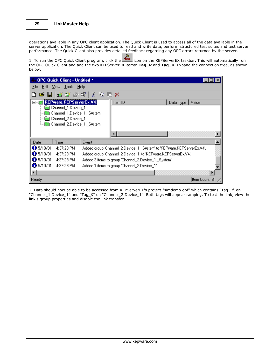operations available in any OPC client application. The Quick Client is used to access all of the data available in the server application. The Quick Client can be used to read and write data, perform structured test suites and test server performance. The Quick Client also provides detailed feedback regarding any OPC errors returned by the server.

1. To run the OPC Quick Client program, click the **interally contrary the KEPServerEX** taskbar. This will automatically run the OPC Quick Client and add the two KEPServerEX items: **Tag\_R** and **Tag\_K**. Expand the connection tree, as shown below.

|                     | OPC Quick Client - Untitled * |       |                                                                       |                   |               |  |  |
|---------------------|-------------------------------|-------|-----------------------------------------------------------------------|-------------------|---------------|--|--|
|                     | File Edit View Tools Help     |       |                                                                       |                   |               |  |  |
|                     | C B B 古味素母 X 电电×              |       |                                                                       |                   |               |  |  |
|                     | KEPware.KEPServerEx.V4        |       | Item ID                                                               | Data Type   Value |               |  |  |
|                     | Channel 1.Device 1            |       |                                                                       |                   |               |  |  |
|                     | Channel_1.Device_1._System    |       |                                                                       |                   |               |  |  |
|                     | Channel_2.Device_1            |       |                                                                       |                   |               |  |  |
|                     | Channel_2.Device_1._System    |       |                                                                       |                   |               |  |  |
|                     |                               |       |                                                                       |                   |               |  |  |
| Date                | Time                          | Event |                                                                       |                   |               |  |  |
| $\bullet$ 5/10/01   | 4:37:23 PM                    |       | Added group 'Channel_2.Device_1._System' to 'KEPware.KEPServerEx.V4'. |                   |               |  |  |
| 65/10/01            | 4:37:23 PM                    |       | Added group 'Channel_2.Device_1' to 'KEPware.KEPServerEx.V4'.         |                   |               |  |  |
| $\bigoplus$ 5/10/01 | 4:37:23 PM                    |       | Added 3 items to group 'Channel_2.Device_1._System'.                  |                   |               |  |  |
| 65/10/01            | 4:37:23 PM                    |       | Added 1 items to group 'Channel_2.Device_1'.                          |                   |               |  |  |
|                     |                               |       |                                                                       |                   |               |  |  |
| Ready               |                               |       |                                                                       |                   | Item Count: 8 |  |  |

2. Data should now be able to be accessed from KEPServerEX's project "simdemo.opf" which contains "Tag\_R" on "Channel\_1.Device\_1" and "Tag\_K" on "Channel\_2.Device\_1". Both tags will appear ramping. To test the link, view the link's group properties and disable the link transfer.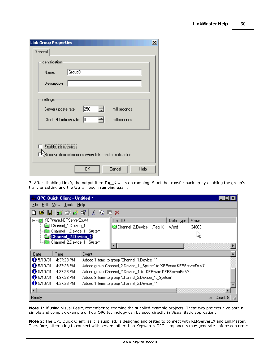| <b>Link Group Properties</b>                                                    | $\boldsymbol{\times}$ |
|---------------------------------------------------------------------------------|-----------------------|
| General                                                                         |                       |
| <b>Identification</b>                                                           |                       |
| Group0<br>Name:                                                                 |                       |
| Description:                                                                    |                       |
| Settings                                                                        |                       |
| 250<br>÷<br>milliseconds<br>Server update rate:                                 |                       |
| 쉬<br>Iо<br>Client I/O refresh rate:<br>milliseconds                             |                       |
| Enable link transfers<br>(Remove item references when link transfer is disabled |                       |
| Cancel<br>OΚ<br>Help                                                            |                       |

3. After disabling Link0, the output item Tag\_K will stop ramping. Start the transfer back up by enabling the group's transfer setting and the tag will begin ramping again.

|                    | OPC Quick Client - Untitled *                           |                    |                                                                       |           |       |               |
|--------------------|---------------------------------------------------------|--------------------|-----------------------------------------------------------------------|-----------|-------|---------------|
| File               | Edit View Tools Help                                    |                    |                                                                       |           |       |               |
|                    |                                                         | SH S S S R & B G X |                                                                       |           |       |               |
|                    | KEPware.KEPServerEx.V4                                  |                    | Item ID                                                               | Data Type | Value |               |
|                    | Channel_1.Device_1                                      |                    | Channel_2.Device_1.Tag_K                                              | Word      | 34663 |               |
|                    | Channel_1.Device_1._System<br><b>Channel 2.Device 1</b> |                    |                                                                       |           | MС    |               |
|                    | Channel_2.Device_1._System                              |                    | ⊣∣                                                                    |           |       |               |
| Date               | Time                                                    | Event              |                                                                       |           |       |               |
| 65/10/01           | 4:37:23 PM                                              |                    | Added 1 items to group 'Channel 1.Device 1'.                          |           |       |               |
| 65/10/01           | 4:37:23 PM                                              |                    | Added group 'Channel_2.Device_1._System' to 'KEPware.KEPServerEx.V4'. |           |       |               |
| 65/10/01           | 4:37:23 PM                                              |                    | Added group 'Channel_2.Device_1' to 'KEPware.KEPServerEx.V4'.         |           |       |               |
| $\bigcirc$ 5/10/01 | 4:37:23 PM                                              |                    | Added 3 items to group 'Channel 2.Device 1. System'.                  |           |       |               |
| 65/10/01           | 4:37:23 PM                                              |                    | Added 1 items to group 'Channel 2.Device 1'.                          |           |       |               |
|                    |                                                         |                    |                                                                       |           |       |               |
| Ready              |                                                         |                    |                                                                       |           |       | Item Count: 8 |

**Note 1:** If using Visual Basic, remember to examine the supplied example projects. These two projects give both a simple and complex example of how OPC technology can be used directly in Visual Basic applications.

**Note 2:** The OPC Quick Client, as it is supplied, is designed and tested to connect with KEPServerEX and LinkMaster. Therefore, attempting to connect with servers other than Kepware's OPC components may generate unforeseen errors.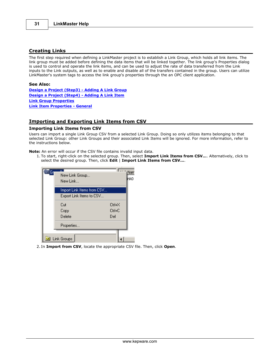## <span id="page-31-0"></span>**Creating Links**

The first step required when defining a LinkMaster project is to establish a Link Group, which holds all link items. The link group must be added before defining the data items that will be linked together. The link group's Properties dialog is used to control and operate the link items, and can be used to adjust the rate of data transferred from the Link inputs to the Link outputs, as well as to enable and disable all of the transfers contained in the group. Users can utilize LinkMaster's system tags to access the link group's properties through the an OPC client application.

#### **See Also:**

**[Design a Project \(Step3\) - Adding A Link Group](#page-21-1) [Design a Project \(Step4\) - Adding A Link Item](#page-24-0) [Link Group Properties](#page-33-0) [Link Item Properties - General](#page-35-0)**

## <span id="page-31-1"></span>**Importing and Exporting Link Items from CSV**

## **Importing Link Items from CSV**

Users can import a single Link Group CSV from a selected Link Group. Doing so only utilizes items belonging to that selected Link Group: other Link Groups and their associated Link Items will be ignored. For more information, refer to the instructions below.

**Note:** An error will occur if the CSV file contains invalid input data.

1. To start, right-click on the selected group. Then, select **Import Link Items from CSV...**. Alternatively, click to select the desired group. Then, click **Edit** | **Import Link Items from CSV...**.

| lGr | New Link Group<br>New Link… | <b>List</b><br>(Nam<br>hkO |
|-----|-----------------------------|----------------------------|
|     | Import Link Items from CSV  |                            |
|     | Export Link Items to CSV    |                            |
|     | Cut                         | Ctrl+X                     |
|     | Copy                        | $C$ trl+ $C$               |
|     | Delete                      | Del                        |
|     | Properties                  |                            |
|     |                             |                            |
| o,  | Link Groups                 |                            |

2. In **Import from CSV**, locate the appropriate CSV file. Then, click **Open**.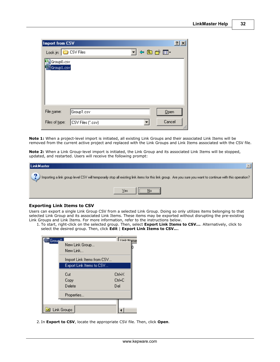| Import from CSV          |                   |         | $\cdot$ |
|--------------------------|-------------------|---------|---------|
| Look in: CSV Files       |                   | J¢ad*⊞∙ |         |
| Group0.csv<br>Group1.csv |                   |         |         |
| File name:               | Group1.csv        |         | Qpen    |
|                          |                   |         | Cancel  |
| Files of type:           | CSV Files (*.csv) |         |         |

**Note 1:** When a project-level import is initiated, all existing Link Groups and their associated Link Items will be removed from the current active project and replaced with the Link Groups and Link Items associated with the CSV file.

**Note 2:** When a Link Group-level import is initiated, the Link Group and its associated Link Items will be stopped, updated, and restarted. Users will receive the following prompt:

| LinkMaster                                                                                                                                                     |  |
|----------------------------------------------------------------------------------------------------------------------------------------------------------------|--|
| . ? Importing a link group level CSV will temporarily stop all existing link items for this link group. Are you sure you want to continue with this operation? |  |
| ,,,,,,,,,,,,,,,,,,,,,,,,,,,,,,,,,<br>⊻es<br>lli No                                                                                                             |  |

## **Exporting Link Items to CSV**

Users can export a single Link Group CSV from a selected Link Group. Doing so only utilizes items belonging to that selected Link Group and its associated Link Items. These items may be exported without disrupting the pre-existing Link Groups and Link Items. For more information, refer to the instructions below.

1. To start, right-click on the selected group. Then, select **Export Link Items to CSV...**. Alternatively, click to select the desired group. Then, click **Edit** | **Export Link Items to CSV...**.

| <u> ∃</u> Grou <u>pΩ</u> | New Link Group<br>New Link                             | <b>Link Mame</b>       |
|--------------------------|--------------------------------------------------------|------------------------|
|                          | Import Link Items from CSV<br>Export Link Items to CSV |                        |
|                          | Cut<br>Copy                                            | Ctrl+X<br>$C$ trl+ $C$ |
|                          | Delete<br>Properties                                   | Del                    |
| Ö.                       | Link Groups                                            |                        |

2. In **Export to CSV**, locate the appropriate CSV file. Then, click **Open**.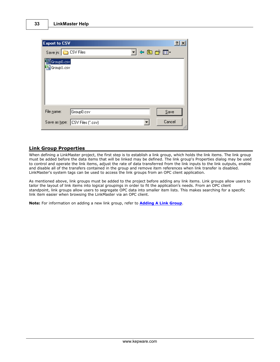| <b>Export to CSV</b>               | ?            |
|------------------------------------|--------------|
| Save in: CSV Files                 | J ← @ o* •   |
| Group0.csv                         |              |
| <b>b</b> Group1.csv                |              |
|                                    |              |
|                                    |              |
|                                    |              |
| Group0.csv<br>File name:           | Save         |
|                                    |              |
| Save as type:<br>CSV Files (*.csv) | Cancel<br>ı. |

## <span id="page-33-0"></span>**Link Group Properties**

When defining a LinkMaster project, the first step is to establish a link group, which holds the link items. The link group must be added before the data items that will be linked may be defined. The link group's Properties dialog may be used to control and operate the link items, adjust the rate of data transferred from the link inputs to the link outputs, enable and disable all of the transfers contained in the group and remove item references when link transfer is disabled. LinkMaster's system tags can be used to access the link groups from an OPC client application.

As mentioned above, link groups must be added to the project before adding any link items. Link groups allow users to tailor the layout of link items into logical groupings in order to fit the application's needs. From an OPC client standpoint, link groups allow users to segregate OPC data into smaller item lists. This makes searching for a specific link item easier when browsing the LinkMaster via an OPC client.

**Note:** For information on adding a new link group, refer to **[Adding A Link Group](#page-21-1)**.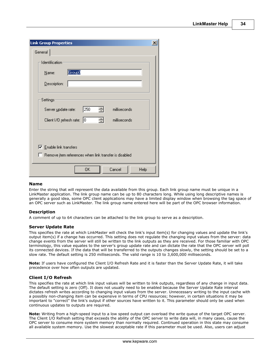| <b>Link Group Properties</b>                                 | $\boldsymbol{\mathsf{x}}$ |
|--------------------------------------------------------------|---------------------------|
| General                                                      |                           |
| Identification                                               |                           |
| Group0<br>Name:                                              |                           |
| Description:                                                 |                           |
| Settings                                                     |                           |
| 250<br>÷<br>milliseconds<br>Server update rate:              |                           |
| 곡<br>Iо<br>Client 1/0 refresh rate:<br>milliseconds          |                           |
|                                                              |                           |
| $\overline{\triangledown}$ Enable link transfers             |                           |
| $\Box$ Remove item references when link transfer is disabled |                           |
| 0K<br>Cancel<br>Help                                         |                           |

## **Name**

Enter the string that will represent the data available from this group. Each link group name must be unique in a LinkMaster application. The link group name can be up to 80 characters long. While using long descriptive names is generally a good idea, some OPC client applications may have a limited display window when browsing the tag space of an OPC server such as LinkMaster. The link group name entered here will be part of the OPC browser information.

## **Description**

A comment of up to 64 characters can be attached to the link group to serve as a description.

#### **Server Update Rate**

This specifies the rate at which LinkMaster will check the link's input item(s) for changing values and update the link's output item(s) if a change has occurred. This setting does not regulate the changing input values from the server: data change events from the server will still be written to the link outputs as they are received. For those familiar with OPC terminology, this value equates to the server's group update rate and can dictate the rate that the OPC server will poll its connected devices. If the data that will be transferred to the outputs changes slowly, the setting should be set to a slow rate. The default setting is 250 milliseconds. The valid range is 10 to 3,600,000 milliseconds.

**Note:** If users have configured the Client I/O Refresh Rate and it is faster than the Server Update Rate, it will take precedence over how often outputs are updated.

## **Client I/O Refresh**

This specifies the rate at which link input values will be written to link outputs, regardless of any change in input data. The default setting is zero (Off). It does not usually need to be enabled because the Server Update Rate interval dictates refresh writes according to changing input values from the server. Unnecessary writing to the input cache with a possibly non-changing item can be expensive in terms of CPU resources; however, in certain situations it may be important to "correct" the link's output if other sources have written to it. This parameter should only be used when continuous updates to outputs are required.

**Note:** Writing from a high-speed input to a low speed output can overload the write queue of the target OPC server. The Client I/O Refresh setting that exceeds the ability of the OPC server to write data will, in many cases, cause the OPC server to consume more system memory than normally required. Continued operation in this state may consume all available system memory. Use the slowest acceptable rate if this parameter must be used. Also, users can adjust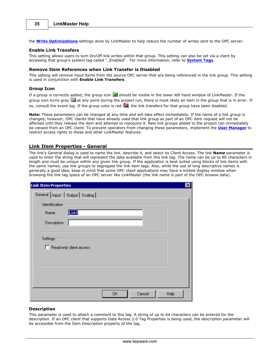the **[Write Optimizations](#page-49-0)** settings done by LinkMaster to help reduce the number of writes sent to the OPC server.

#### **Enable Link Transfers**

This setting allows users to turn On/Off link writes within that group. This setting can also be set via a client by accessing that group's system tag called "\_Enabled". For more information, refer to **[System Tags](#page-11-0)**.

#### **Remove Item References when Link Transfer is Disabled**

This setting will remove input items from the source OPC server that are being referenced in the link group. This setting is used in conjunction with **Enable Link Transfers**.

#### **Group Icon**

If a group is correctly added, the group icon  $\mathbb{E}$  should be visible in the lower left hand window of LinkMaster. If the group icon turns gray  $\Box$  at any point during the project run, there is most likely an item in the group that is in error. If so, consult the event log. If the group color is red  $\blacksquare$ , the link transfers for that group have been disabled.

**Note:** These parameters can be changed at any time and will take effect immediately. If the name of a link group is changed, however, OPC clients that have already used that link group as part of an OPC item request will not be affected until they release the item and attempt to reacquire it. New link groups added to the project can immediately be viewed from an OPC client. To prevent operators from changing these parameters, implement the **[User Manager](#page-17-0)** to restrict access rights to these and other LinkMaster features.

## <span id="page-35-0"></span>**Link Item Properties - General**

The link's General dialog is used to name the link, describe it, and select its Client Access. The link **Name** parameter is used to enter the string that will represent the data available from this link tag. The name can be up to 80 characters in length and must be unique within any given link group. If the application is best suited using blocks of link items with the same names, use link groups to segregate the link item tags. Also, while the use of long descriptive names is generally a good idea, keep in mind that some OPC client applications may have a limited display window when browsing the link tag space of an OPC server like LinkMaster (the link name is part of the OPC browse data).

| <b>Link Item Properties</b>                                  | $\vert x \vert$ |
|--------------------------------------------------------------|-----------------|
| General   Input   Output   Scaling                           |                 |
| Identification<br>Link <sub>0</sub><br>Name:<br>Description: |                 |
| Settings<br>□ Read-only client access                        |                 |
|                                                              |                 |
| 0K<br>Cancel                                                 | Help            |

## **Description**

This parameter is used to attach a comment to this tag. A string of up to 64 characters can be entered for the description. If an OPC client that supports Data Access 2.0 Tag Properties is being used, the description parameter will be accessible from the Item Description property of the tag.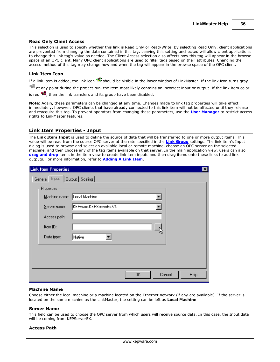#### **Read Only Client Access**

This selection is used to specify whether this link is Read Only or Read/Write. By selecting Read Only, client applications are prevented from changing the data contained in this tag. Leaving this setting unchecked will allow client applications to change this link tag's value as needed. The Client Access selection also affects how this tag will appear in the browse space of an OPC client. Many OPC client applications are used to filter tags based on their attributes. Changing the access method of this tag may change how and when the tag will appear in the browse space of the OPC client.

#### **Link Item Icon**

If a link item is added, the link icon  $\mathcal{F}$  should be visible in the lower window of LinkMaster. If the link icon turns gray

at any point during the project run, the item most likely contains an incorrect input or output. If the link item color

is red  $\overline{\mathcal{P}}$ , then the link transfers and its group have been disabled.

**Note:** Again, these parameters can be changed at any time. Changes made to link tag properties will take effect immediately, however: OPC clients that have already connected to this link item will not be affected until they release and reacquire this tag. To prevent operators from changing these parameters, use the **[User Manager](#page-17-0)** to restrict access rights to LinkMaster features.

# **Link Item Properties - Input**

The **Link Item Input** is used to define the source of data that will be transferred to one or more output items. This value will be read from the source OPC server at the rate specified in the **[Link Group](#page-33-0)** settings. The link item's Input dialog is used to browse and select an available local or remote machine, choose an OPC server on the selected machine, and then choose any of the tag items available on that server. In the main application view, users can also **[drag and drop](#page-12-0)** items in the item view to create link item inputs and then drag items onto these links to add link outputs. For more information, refer to **[Adding A Link Item](#page-24-0)**.

| <b>Link Item Properties</b> | ⊠                      |
|-----------------------------|------------------------|
| General Input               | Output   Scaling       |
| Properties                  |                        |
| Machine name: Local Machine |                        |
| Server name:                | KEPware.KEPServerEx.V4 |
| Access path:                |                        |
| Item ID:                    |                        |
| Data type:                  | Native                 |
|                             |                        |
|                             |                        |
|                             |                        |
|                             | 0K<br>Cancel<br>Help   |

#### **Machine Name**

Choose either the local machine or a machine located on the Ethernet network (if any are available). If the server is located on the same machine as the LinkMaster, the setting can be left as **Local Machine**.

#### **Server Name**

This field can be used to choose the OPC server from which users will receive source data. In this case, the Input data will be coming from KEPServerEX.

#### **Access Path**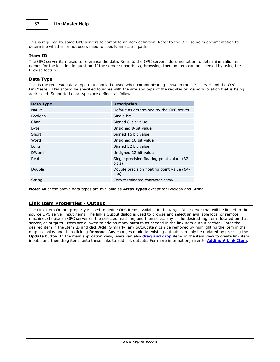This is required by some OPC servers to complete an item definition. Refer to the OPC server's documentation to determine whether or not users need to specify an access path.

## **Item ID**

The OPC server item used to reference the data. Refer to the OPC server's documentation to determine valid item names for the location in question. If the server supports tag browsing, then an item can be selected by using the Browse feature.

# **Data Type**

This is the requested data type that should be used when communicating between the OPC server and the OPC LinkMaster. This should be specified to agree with the size and type of the register or memory location that is being addressed. Supported data types are defined as follows.

| Data Type      | <b>Description</b>                                    |
|----------------|-------------------------------------------------------|
| Native         | Default as determined by the OPC server               |
| <b>Boolean</b> | Single bit                                            |
| Char           | Signed 8-bit value                                    |
| <b>Byte</b>    | Unsigned 8-bit value                                  |
| Short          | Signed 16 bit value                                   |
| Word           | Unsigned 16 bit value                                 |
| Long           | Signed 32 bit value                                   |
| <b>DWord</b>   | Unsigned 32 bit value                                 |
| Real           | Single precision floating point value. (32)<br>bit s) |
| Double         | Double precision floating point value (64-<br>bits)   |
| String         | Zero terminated character array                       |

**Note:** All of the above data types are available as **Array types** except for Boolean and String.

# <span id="page-37-0"></span>**Link Item Properties - Output**

The Link Item Output property is used to define OPC items available in the target OPC server that will be linked to the source OPC server input items. The link's Output dialog is used to browse and select an available local or remote machine, choose an OPC server on the selected machine, and then select any of the desired tag items located on that server, as outputs. Users are allowed to add as many outputs as needed in the link item output section. Enter the desired item in the Item ID and click **Add**. Similarly, any output item can be removed by highlighting the item in the output display and then clicking **Remove**. Any changes made to existing outputs can only be updated by pressing the **Update** button. In the main application view, users can also **[drag and drop](#page-12-0)** items in the item view to create link item inputs, and then drag items onto these links to add link outputs. For more information, refer to **[Adding A Link Item](#page-24-0)**.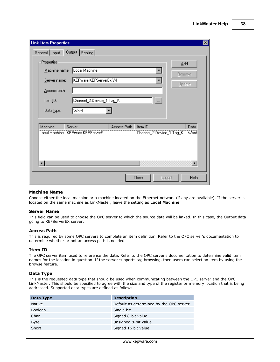**38**

| <b>Link Item Properties</b>                                                                                                                                                    | $\vert x \vert$                |
|--------------------------------------------------------------------------------------------------------------------------------------------------------------------------------|--------------------------------|
| Output Scaling<br>General Input                                                                                                                                                |                                |
| <b>Properties:</b><br>Local Machine<br>Machine name:<br>$\blacktriangledown$<br>KEPware.KEPServerEx.V4<br>Server name:<br>Access path:<br>Channel_2.Device_1.Tag_K<br>Item ID: | Add<br><b>Remove</b><br>Update |
| Data type:<br>Word                                                                                                                                                             |                                |
| Machine<br>Access Path<br>Server<br>Item ID<br>Local Machine KEPware.KEPServerE.<br>Channel_2.Device_1.Tag_K                                                                   | Data<br>Word<br>Þ              |
| Close<br>Cancel                                                                                                                                                                | Help                           |

### **Machine Name**

Choose either the local machine or a machine located on the Ethernet network (if any are available). If the server is located on the same machine as LinkMaster, leave the setting as **Local Machine**.

#### **Server Name**

This field can be used to choose the OPC server to which the source data will be linked. In this case, the Output data going to KEPServerEX server.

#### **Access Path**

This is required by some OPC servers to complete an item definition. Refer to the OPC server's documentation to determine whether or not an access path is needed.

#### **Item ID**

The OPC server item used to reference the data. Refer to the OPC server's documentation to determine valid item names for the location in question. If the server supports tag browsing, then users can select an item by using the browse feature.

#### **Data Type**

This is the requested data type that should be used when communicating between the OPC server and the OPC LinkMaster. This should be specified to agree with the size and type of the register or memory location that is being addressed. Supported data types are defined as follows.

| Data Type      | <b>Description</b>                      |
|----------------|-----------------------------------------|
| <b>Native</b>  | Default as determined by the OPC server |
| <b>Boolean</b> | Single bit                              |
| Char           | Signed 8-bit value                      |
| <b>Byte</b>    | Unsigned 8-bit value                    |
| Short          | Signed 16 bit value                     |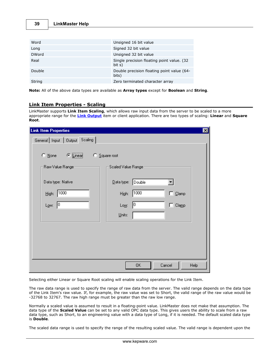| 39 | <b>LinkMaster Help</b> |  |
|----|------------------------|--|
|----|------------------------|--|

| Word         | Unsigned 16 bit value                                 |
|--------------|-------------------------------------------------------|
| Long         | Signed 32 bit value                                   |
| <b>DWord</b> | Unsigned 32 bit value                                 |
| Real         | Single precision floating point value. (32)<br>bit s) |
| Double       | Double precision floating point value (64-<br>bits)   |
| String       | Zero terminated character array                       |

**Note:** All of the above data types are available as **Array types** except for **Boolean** and **String**.

# <span id="page-39-0"></span>**Link Item Properties - Scaling**

LinkMaster supports **Link Item Scaling**, which allows raw input data from the server to be scaled to a more appropriate range for the **[Link Output](#page-37-0)** item or client application. There are two types of scaling: **Linear** and **Square Root**.

| <b>Link Item Properties</b>               |                                              | $\mathbf{z}$ |
|-------------------------------------------|----------------------------------------------|--------------|
| General Input   Output Scaling            |                                              |              |
| $\bullet$ Linear<br>$\bigcirc$ None<br>o. | Square root                                  |              |
| Raw Value Range:                          | Scaled Value Ranger                          |              |
| Data type: Native                         | $\underline{\mathsf{D}}$ ata type:<br>Double |              |
| 1000<br>High:                             | 1000<br>$\Box$ Clamp<br>High:                |              |
| 10<br>Low:                                | 10<br>$\Box$ Clamp<br>Low:                   |              |
|                                           | Units:                                       |              |
|                                           |                                              |              |
|                                           |                                              |              |
|                                           |                                              |              |
|                                           | Cancel<br>ΟK<br>Help                         |              |

Selecting either Linear or Square Root scaling will enable scaling operations for the Link Item.

The raw data range is used to specify the range of raw data from the server. The valid range depends on the data type of the Link Item's raw value. If, for example, the raw value was set to Short, the valid range of the raw value would be -32768 to 32767. The raw high range must be greater than the raw low range.

Normally a scaled value is assumed to result in a floating-point value. LinkMaster does not make that assumption. The data type of the **Scaled Value** can be set to any valid OPC data type. This gives users the ability to scale from a raw data type, such as Short, to an engineering value with a data type of Long, if it is needed. The default scaled data type is **Double**.

The scaled data range is used to specify the range of the resulting scaled value. The valid range is dependent upon the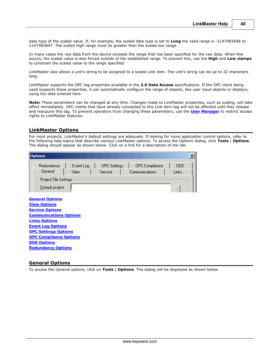data type of the scaled value. If, for example, the scaled data type is set to **Long** the valid range is -2147483648 to 2147483647. The scaled high range must be greater than the scaled low range.

In many cases the raw data from the device exceeds the range that has been specified for the raw data. When this occurs, the scaled value is also forced outside of the established range. To prevent this, use the **High** and **Low clamps** to constrain the scaled value to the range specified.

LinkMaster also allows a unit's string to be assigned to a scaled Link item. The unit's string can be up to 32 characters long.

LinkMaster supports the OPC tag properties available in the **2.0 Data Access** specifications. If the OPC client being used supports these properties, it can automatically configure the range of objects, like user input objects or displays, using the data entered here.

**Note:** These parameters can be changed at any time. Changes made to LinkMaster properties, such as scaling, will take effect immediately. OPC clients that have already connected to this Link item tag will not be affected until they release and reacquire this tag. To prevent operators from changing these parameters, use the **[User Manager](#page-17-0)** to restrict access rights to LinkMaster features.

# **LinkMaster Options**

For most projects, LinkMaster's default settings are adequate. If looking for more application control options, refer to the following help topics that describe various LinkMaster options. To access the Options dialog, click **Tools** | **Options**. The dialog should appear as shown below. Click on a link for a description of the tab.

| <b>Options</b>                                                                                                                                                                                                                                                                  |                   |                                |                                  |                                 | $\vert x \vert$ |
|---------------------------------------------------------------------------------------------------------------------------------------------------------------------------------------------------------------------------------------------------------------------------------|-------------------|--------------------------------|----------------------------------|---------------------------------|-----------------|
| Redundancy<br>General<br>Project File Settings<br>Default project                                                                                                                                                                                                               | Event Log<br>View | <b>OPC</b> Settings<br>Service | OPC Compliance<br>Communications | <b>DDE</b><br>Links<br>$\cdots$ |                 |
| <b>General Options</b><br><b>View Options</b><br><b>Service Options</b><br><b>Communications Options</b><br><b>Links Options</b><br><b>Event Log Options</b><br><b>OPC Settings Options</b><br><b>OPC Compliance Options</b><br><b>DDE Options</b><br><b>Redundancy Options</b> |                   |                                |                                  |                                 |                 |

# <span id="page-40-0"></span>**General Options**

To access the General options, click on **Tools** | **Options**. The dialog will be displayed as shown below.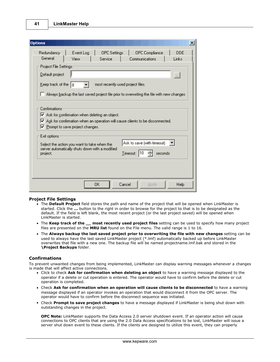| <b>Options</b>                                                                                                                                                                                                                          | $\vert x \vert$                   |
|-----------------------------------------------------------------------------------------------------------------------------------------------------------------------------------------------------------------------------------------|-----------------------------------|
| Redundancy<br>Event Log<br><b>OPC</b> Settings                                                                                                                                                                                          | <b>DDE</b><br>OPC Compliance      |
| General<br>Service<br>View                                                                                                                                                                                                              | Communications<br>Links           |
| Project File Settings:                                                                                                                                                                                                                  |                                   |
| Default project                                                                                                                                                                                                                         | $\ldots$                          |
| Keep track of the<br>18                                                                                                                                                                                                                 | most recently used project files. |
| Always backup the last saved project file prior to overwriting the file with new changes                                                                                                                                                |                                   |
| Confirmations<br>$\blacktriangleright$ Ask for confirmation when deleting an object.<br>$\blacktriangleright$ Ask for confirmation when an operation will cause clients to be disconnected.<br>$\nabla$ Prompt to save project changes. |                                   |
| Exit options                                                                                                                                                                                                                            |                                   |
| Select the action you want to take when the                                                                                                                                                                                             | Ask to save (with timeout)        |
| server automatically shuts down with a modified<br>project.                                                                                                                                                                             | 110<br>Timeout:<br>seconds        |
|                                                                                                                                                                                                                                         |                                   |
|                                                                                                                                                                                                                                         |                                   |
| 0K                                                                                                                                                                                                                                      | Cancel<br>Help<br>Apply           |

### **Project File Settings**

- The **Default Project** field stores the path and name of the project that will be opened when LinkMaster is started. Click the **...** button to the right in order to browse for the project to that is to be designated as the default. If the field is left blank, the most recent project (or the last project saved) will be opened when LinkMaster is started.
- The **Keep track of the \_\_ most recently used project files** setting can be used to specify how many project files are presented on the **MRU list** found on the File menu. The valid range is 1 to 16.
- The **Always backup the last saved project prior to overwriting the file with new changes** setting can be used to always have the last saved LinkMaster project (\*.lmf) automatically backed up before LinkMaster overwrites that file with a new one. The backup file will be named projectname.lmf.bak and stored in the **\Project Backups** folder.

#### **Confirmations**

To prevent unwanted changes from being implemented, LinkMaster can display warning messages whenever a changes is made that will affect active connections.

- Click to check **Ask for confirmation when deleting an object** to have a warning message displayed to the operator if a delete or cut operation is entered. The operator would have to confirm before the delete or cut operation is completed.
- Check **Ask for confirmation when an operation will cause clients to be disconnected** to have a warning message displayed if an operator invokes an operation that would disconnect it from the OPC server. The operator would have to confirm before the disconnect sequence was initiated.
- Check **Prompt to save project changes** to have a message displayed if LinkMaster is being shut down with outstanding changes in the project.

**OPC Note:** LinkMaster supports the Data Access 2.0 server shutdown event. If an operator action will cause connections to OPC clients that are using the 2.0 Data Access specifications to be lost, LinkMaster will issue a server shut down event to these clients. If the clients are designed to utilize this event, they can properly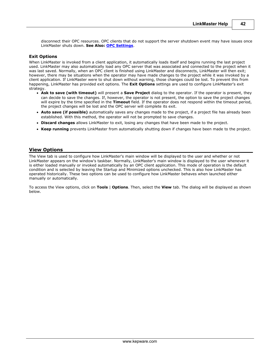disconnect their OPC resources. OPC clients that do not support the server shutdown event may have issues once LinkMaster shuts down. **See Also: [OPC Settings](#page-52-0)**.

#### **Exit Options**

When LinkMaster is invoked from a client application, it automatically loads itself and begins running the last project used. LinkMaster may also automatically load any OPC server that was associated and connected to the project when it was last saved. Normally, when an OPC client is finished using LinkMaster and disconnects, LinkMaster will then exit; however, there may be situations when the operator may have made changes to the project while it was invoked by a client application. If LinkMaster were to shut down without warning, those changes could be lost. To prevent this from happening, LinkMaster has provided exit options. The **Exit Options** settings are used to configure LinkMaster's exit strategy.

- **Ask to save (with timeout)** will present a **Save Project** dialog to the operator. If the operator is present, they can decide to save the changes. If, however, the operator is not present, the option to save the project changes will expire by the time specified in the **Timeout** field. If the operator does not respond within the timeout period, the project changes will be lost and the OPC server will complete its exit.
- **Auto save (if possible)** automatically saves any changes made to the project, if a project file has already been established. With this method, the operator will not be prompted to save changes.
- **Discard changes** allows LinkMaster to exit, losing any changes that have been made to the project.
- **Keep running** prevents LinkMaster from automatically shutting down if changes have been made to the project.

#### <span id="page-42-0"></span>**View Options**

The View tab is used to configure how LinkMaster's main window will be displayed to the user and whether or not LinkMaster appears on the window's taskbar. Normally, LinkMaster's main window is displayed to the user whenever it is either loaded manually or invoked automatically by an OPC client application. This mode of operation is the default condition and is selected by leaving the Startup and Minimized options unchecked. This is also how LinkMaster has operated historically. These two options can be used to configure how LinkMaster behaves when launched either manually or automatically.

To access the View options, click on **Tools** | **Options**. Then, select the **View** tab. The dialog will be displayed as shown below.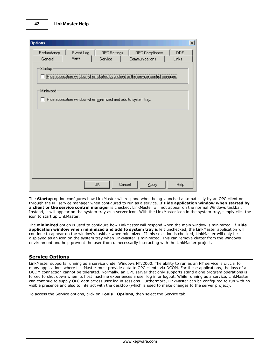| <b>Options</b>       |           |                                                                       |                                                                                  |       |
|----------------------|-----------|-----------------------------------------------------------------------|----------------------------------------------------------------------------------|-------|
| Redundancy           | Event Log | <b>OPC</b> Settings                                                   | OPC Compliance                                                                   | DDE   |
| General              | View      | Service                                                               | Communications                                                                   | Links |
| Startup<br>Minimized |           |                                                                       | Hide application window when started by a client or the service control manager. |       |
|                      |           | $\Box$ Hide application window when minimized and add to system tray. |                                                                                  |       |
|                      |           |                                                                       |                                                                                  |       |
|                      |           |                                                                       |                                                                                  |       |
|                      |           |                                                                       |                                                                                  |       |
|                      |           |                                                                       |                                                                                  |       |
|                      |           |                                                                       |                                                                                  |       |
|                      |           |                                                                       |                                                                                  |       |
|                      |           |                                                                       |                                                                                  |       |

The **Startup** option configures how LinkMaster will respond when being launched automatically by an OPC client or through the NT service manager when configured to run as a service. If **Hide application window when started by a client or the service control manager** is checked, LinkMaster will not appear on the normal Windows taskbar. Instead, it will appear on the system tray as a server icon. With the LinkMaster icon in the system tray, simply click the icon to start up LinkMaster.

The **Minimized** option is used to configure how LinkMaster will respond when the main window is minimized. If **Hide application window when minimized and add to system tray** is left unchecked, the LinkMaster application will continue to appear on the window's taskbar when minimized. If this selection is checked, LinkMaster will only be displayed as an icon on the system tray when LinkMaster is minimized. This can remove clutter from the Windows environment and help prevent the user from unnecessarily interacting with the LinkMaster project.

# <span id="page-43-0"></span>**Service Options**

LinkMaster supports running as a service under Windows NT/2000. The ability to run as an NT service is crucial for many applications where LinkMaster must provide data to OPC clients via DCOM. For these applications, the loss of a DCOM connection cannot be tolerated. Normally, an OPC server that only supports stand alone program operations is forced to shut down when its host machine experiences a user log in or logout. While running as a service, LinkMaster can continue to supply OPC data across user log in sessions. Furthermore, LinkMaster can be configured to run with no visible presence and also to interact with the desktop (which is used to make changes to the server project).

To access the Service options, click on **Tools** | **Options**, then select the Service tab.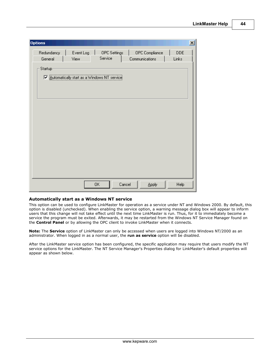| <b>Options</b>                                |           |              |                |       | 즤 |
|-----------------------------------------------|-----------|--------------|----------------|-------|---|
| Redundancy                                    | Event Log | OPC Settings | OPC Compliance | DDE   |   |
| General                                       | View      | Service      | Communications | Links |   |
| Startup                                       |           |              |                |       |   |
| V Automatically start as a Windows NT service |           |              |                |       |   |
|                                               |           |              |                |       |   |
|                                               |           |              |                |       |   |
|                                               |           |              |                |       |   |
|                                               |           |              |                |       |   |
|                                               |           |              |                |       |   |
|                                               |           |              |                |       |   |
|                                               |           |              |                |       |   |
|                                               |           |              |                |       |   |
|                                               |           |              |                |       |   |
|                                               |           |              |                |       |   |
|                                               |           |              |                |       |   |
|                                               |           |              |                |       |   |
|                                               |           |              |                |       |   |

### **Automatically start as a Windows NT service**

This option can be used to configure LinkMaster for operation as a service under NT and Windows 2000. By default, this option is disabled (unchecked). When enabling the service option, a warning message dialog box will appear to inform users that this change will not take effect until the next time LinkMaster is run. Thus, for it to immediately become a service the program must be exited. Afterwards, it may be restarted from the Windows NT Service Manager found on the **Control Panel** or by allowing the OPC client to invoke LinkMaster when it connects.

**Note:** The **Service** option of LinkMaster can only be accessed when users are logged into Windows NT/2000 as an administrator. When logged in as a normal user, the **run as service** option will be disabled.

After the LinkMaster service option has been configured, the specific application may require that users modify the NT service options for the LinkMaster. The NT Service Manager's Properties dialog for LinkMaster's default properties will appear as shown below.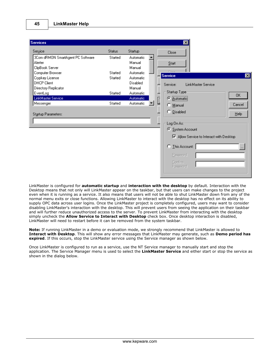

LinkMaster is configured for **automatic startup** and **interaction with the desktop** by default. Interaction with the Desktop means that not only will LinkMaster appear on the taskbar, but that users can make changes to the project even when it is running as a service. It also means that users will not be able to shut LinkMaster down from any of the normal menu exits or close functions. Allowing LinkMaster to interact with the desktop has no effect on its ability to supply OPC data across user logins. Once the LinkMaster project is completely configured, users may want to consider disabling LinkMaster's interaction with the desktop. This will prevent users from seeing the application on their taskbar and will further reduce unauthorized access to the server. To prevent LinkMaster from interacting with the desktop simply uncheck the **Allow Service to Interact with Desktop** check box. Once desktop interaction is disabled, LinkMaster will need to restart before it can be removed from the system taskbar.

**Note:** If running LinkMaster in a demo or evaluation mode, we strongly recommend that LinkMaster is allowed to **Interact with Desktop**. This will show any error messages that LinkMaster may generate, such as **Demo period has expired**. If this occurs, stop the LinkMaster service using the Service manager as shown below.

Once LinkMaster is configured to run as a service, use the NT Service manager to manually start and stop the application. The Service Manager menu is used to select the **LinkMaster Service** and either start or stop the service as shown in the dialog below.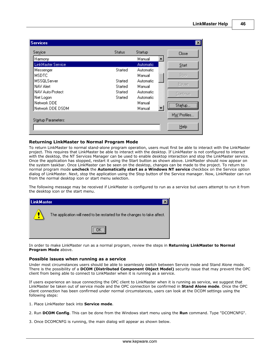**46**

| Service                   | <b>Status</b>  | Startup          | Close       |
|---------------------------|----------------|------------------|-------------|
| Harmony                   |                | Manual           |             |
| <b>LinkMaster Service</b> |                | <b>Automatic</b> | Start       |
| Messenger                 | <b>Started</b> | <b>Automatic</b> |             |
| <b>MSDTC</b>              |                | Manual           | Stop        |
| MSSQLServer               | Started        | Automatic        |             |
| NAV Alert                 | Started        | Manual           | Pause       |
| NAV Auto-Protect          | Started        | Automatic        | Continue    |
| Net Logon                 | Started        | Automatic        |             |
| Network DDE               |                | Manual           |             |
| Network DDE DSDM          |                | Manual           | Startup     |
|                           |                |                  | HW Profiles |
| Startup Parameters:       |                |                  |             |
|                           |                |                  | Help        |

#### **Returning LinkMaster to Normal Program Mode**

To return LinkMaster to normal stand-alone program operation, users must first be able to interact with the LinkMaster project. This requires that LinkMaster be able to interact with the desktop. If LinkMaster is not configured to interact with the desktop, the NT Services Manager can be used to enable desktop interaction and stop the LinkMaster service. Once the application has stopped, restart it using the Start button as shown above. LinkMaster should now appear on the system taskbar. Once LinkMaster can be seen on the desktop, changes can be made to the project. To return to normal program mode **uncheck** the **Automatically start as a Windows NT service** checkbox on the Service option dialog of LinkMaster. Next, stop the application using the Stop button of the Service manager. Now, LinkMaster can run from the normal desktop icon or start menu selection.

The following message may be received if LinkMaster is configured to run as a service but users attempt to run it from the desktop icon or the start menu.

| LinkMaster |                                                                           |
|------------|---------------------------------------------------------------------------|
| Æ          | The application will need to be restarted for the changes to take affect. |
|            |                                                                           |

In order to make LinkMaster run as a normal program, review the steps in **Returning LinkMaster to Normal Program Mode** above.

#### **Possible issues when running as a service**

Under most circumstances users should be able to seamlessly switch between Service mode and Stand Alone mode. There is the possibility of a **DCOM (Distributed Component Object Model)** security issue that may prevent the OPC client from being able to connect to LinkMaster when it is running as a service.

If users experience an issue connecting the OPC client to LinkMaster when it is running as service, we suggest that LinkMaster be taken out of service mode and the OPC connection be confirmed in **Stand Alone mode**. Once the OPC client connection has been confirmed under normal circumstances, users can look at the DCOM settings using the following steps:

- 1. Place LinkMaster back into **Service mode**.
- 2. Run **DCOM Config**. This can be done from the Windows start menu using the **Run** command. Type "DCOMCNFG".
- 3. Once DCOMCNFG is running, the main dialog will appear as shown below.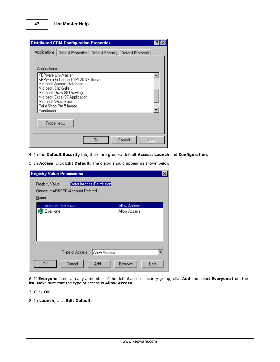| <b>Distributed COM Configuration Properties</b>                                                                                                                                                                                                    | ? |
|----------------------------------------------------------------------------------------------------------------------------------------------------------------------------------------------------------------------------------------------------|---|
| Applications   Default Properties   Default Security   Default Protocols  <br>Applications:                                                                                                                                                        |   |
| <b>KEPware LinkMaster</b><br>KEPware Enhanced OPC/DDE Server<br>Microsoft Access Database<br>Microsoft Clip Gallery<br>Microsoft Draw 98 Drawing<br>Microsoft Excel 97 Application<br>Microsoft Word Basic<br>Paint Shop Pro 5 Image<br>Paintbrush |   |
| Properties<br>Cancel<br>OΚ<br>Apply                                                                                                                                                                                                                |   |

- 4. In the **Default Security** tab, there are groups: default **Access**, **Launch** and **Configuration**.
- 5. In **Access**, click **Edit Default**. The dialog should appear as shown below.

| <b>Registry Value Permissions</b>                                                     | $ \mathbf{x} $      |
|---------------------------------------------------------------------------------------|---------------------|
| DefaultAccessPermission<br>Registry Value:<br>Owner: MARKSPC\Account Deleted<br>Name: |                     |
| Account Unknown                                                                       | <b>Allow Access</b> |
| Everyone                                                                              | Allow Access        |
| Allow Access<br>Type of Access:                                                       |                     |
| <b>OK</b><br>Cancel<br>Add                                                            | Remove<br>Help      |

6. If **Everyone** is not already a member of the defaul access security group, click **Add** and select **Everyone** from the list. Make sure that the type of access is **Allow Access**.

# 7. Click **OK**.

8. In **Launch**, click **Edit Default**.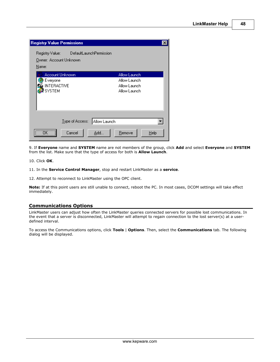| <b>Registry Value Permissions</b>                                                 |                                                              |
|-----------------------------------------------------------------------------------|--------------------------------------------------------------|
| DefaultLaunchPermission<br>Registry Value: The<br>Owner: Account Unknown<br>Name: |                                                              |
| Account Unknown<br>Everyone<br><b>INTERACTIVE</b><br><mark>≹</mark> SYSTEM        | Allow Launch<br>Allow Launch<br>Allow Launch<br>Allow Launch |
| Allow Launch<br>Type of Access:<br>Cancel<br>Add                                  | Remove<br>Help                                               |

9. If **Everyone** name and **SYSTEM** name are not members of the group, click **Add** and select **Everyone** and **SYSTEM** from the list. Make sure that the type of access for both is **Allow Launch**.

10. Click **OK**.

11. In the **Service Control Manager**, stop and restart LinkMaster as a **service**.

12. Attempt to reconnect to LinkMaster using the OPC client.

**Note:** If at this point users are still unable to connect, reboot the PC. In most cases, DCOM settings will take effect immediately.

# <span id="page-48-0"></span>**Communications Options**

LinkMaster users can adjust how often the LinkMaster queries connected servers for possible lost communications. In the event that a server is disconnected, LinkMaster will attempt to regain connection to the lost server(s) at a userdefined interval.

To access the Communications options, click **Tools** | **Options**. Then, select the **Communications** tab. The following dialog will be displayed.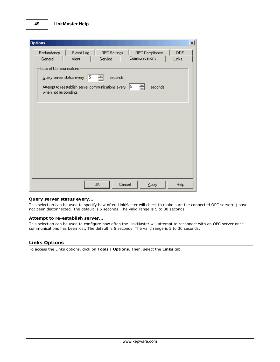| <b>Options</b>                                                                                                                   | $\vert x \vert$ |
|----------------------------------------------------------------------------------------------------------------------------------|-----------------|
| Redundancy<br>Event Log<br>OPC Settings<br>OPC Compliance<br><b>DDE</b><br>Communications<br>Links<br>Service<br>General<br>View |                 |
| Loss of Communications<br>15<br>ᆃ<br>seconds.<br>Query server status every                                                       |                 |
| 5 <br>극<br>Attempt to reestablish server communications every<br>seconds<br>when not responding.                                 |                 |
|                                                                                                                                  |                 |
|                                                                                                                                  |                 |
|                                                                                                                                  |                 |
|                                                                                                                                  |                 |
| Cancel<br>0K<br><b>Help</b><br><b>Apply</b>                                                                                      |                 |

#### **Query server status every...**

This selection can be used to specify how often LinkMaster will check to make sure the connected OPC server(s) have not been disconnected. The default is 5 seconds. The valid range is 5 to 30 seconds.

#### **Attempt to re-establish server...**

This selection can be used to configure how often the LinkMaster will attempt to reconnect with an OPC server once communications has been lost. The default is 5 seconds. The valid range is 5 to 30 seconds.

# <span id="page-49-0"></span>**Links Options**

To access the Links options, click on **Tools** | **Options**. Then, select the **Links** tab.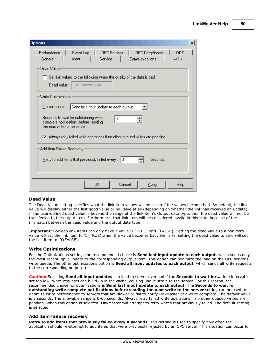| <b>Options</b>                                                                                                       |             | $\vert x \vert$ |
|----------------------------------------------------------------------------------------------------------------------|-------------|-----------------|
| Redundancy<br>Event Log<br><b>OPC</b> Settings<br>OPC Compliance                                                     | <b>DDE</b>  |                 |
| General<br>View<br>Service<br>Communications                                                                         | Links       |                 |
| Dead Value                                                                                                           |             |                 |
| $\Box$ Set link values to the following when the quality of the data is bad:                                         |             |                 |
| Dead value: Last Known Value                                                                                         |             |                 |
|                                                                                                                      |             |                 |
| Write Optimizations                                                                                                  |             |                 |
| Optimizations:<br>Send last input update to each output                                                              |             |                 |
| Seconds to wait for outstanding write<br>5<br>complete notifications before sending<br>the next write to the server: |             |                 |
| $\nabla$ Always retry failed write operations if no other queued writes are pending                                  |             |                 |
| Add Item Failure Recovery-                                                                                           |             |                 |
| Retry to add items that previously failed every :<br>13.<br>seconds.                                                 |             |                 |
|                                                                                                                      |             |                 |
|                                                                                                                      |             |                 |
| 0K<br>Cancel<br>Apply                                                                                                | <b>Help</b> |                 |

### **Dead Value**

The Dead Value setting specifies what the link item values will be set to if the values become bad. By default, the link value will display either the last good value or no value at all (depending on whether the link has received an update). If the user-defined dead value is beyond the range of the link item's Output data type, then the dead value will not be transferred to the output item. Furthermore, that link item will be considered invalid in this state because of the mismatch between the dead value and the output data type.

**Important:** Boolean link items can only have a value '1'(TRUE) or '0'(FALSE). Setting the dead value to a non-zero value will set the link item to '1'(TRUE) when the value becomes bad. Similarly, setting the dead value to zero will set the link item to '0'(FALSE).

### **Write Optimizations**

For the Optimizations setting, the recommended choice is **Send last input update to each output**, which sends only the most recent input update to the corresponding output item. This option can minimize the load on the OPC server's write queue. The other optimizations option is **Send all input updates to each output**, which sends all write requests to the corresponding output(s).

**Caution:** Selecting **Send all input updates** can lead to server overload if the **Seconds to wait for...** time interval is set too low. Write requests can build up in the cache, causing undue strain to the server. For this reason, the recommended choice for optimizations is **Send last input update to each output**. The **Seconds to wait for outstanding write complete notifications before sending the next write to the server** setting can be used to optimize write performance to servers that are slower or fail to notify LinkMaster of a write complete. The default value is 5 seconds. The allowable range is 0-60 seconds. Always retry failed write operations if no other queued writes are pending. When this option is selected, LinkMaster will attempt to retry writes that previously failed. The default setting is selected.

## **Add item failure recovery**

**Retry to add items that previously failed every X seconds:** This setting is used to specify how often the application should re-attempt to add items that were previously rejected by an OPC server. This situation can occur for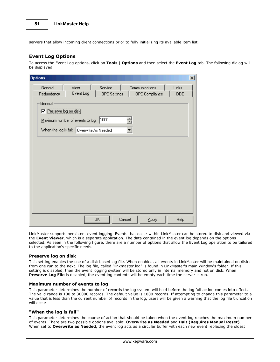servers that allow incoming client connections prior to fully initializing its available item list.

# <span id="page-51-0"></span>**Event Log Options**

To access the Event Log options, click on **Tools** | **Options** and then select the **Event Log** tab. The following dialog will be displayed.

| <b>Options</b>                                                                                                                   | $\vert x \vert$ |
|----------------------------------------------------------------------------------------------------------------------------------|-----------------|
| Service<br>General<br>View<br>Communications<br>Links<br>Event Log<br><b>OPC</b> Settings<br>OPC Compliance<br>Redundancy<br>DDE |                 |
| General<br>Preserve log on disk                                                                                                  |                 |
| Maximum number of events to log: 1000<br>奇                                                                                       |                 |
| When the log is full: Overwrite As Needed                                                                                        |                 |
|                                                                                                                                  |                 |
|                                                                                                                                  |                 |
|                                                                                                                                  |                 |
|                                                                                                                                  |                 |
|                                                                                                                                  |                 |
|                                                                                                                                  |                 |
| 0K<br>Cancel<br>Help<br>Apply                                                                                                    |                 |

LinkMaster supports persistent event logging. Events that occur within LinkMaster can be stored to disk and viewed via the **Event Viewer**, which is a separate application. The data contained in the event log depends on the options selected. As seen in the following figure, there are a number of options that allow the Event Log operation to be tailored to the application's specific needs.

#### **Preserve log on disk**

This setting enables the use of a disk based log file. When enabled, all events in LinkMaster will be maintained on disk; from one run to the next. The log file, called "linkmaster.log" is found in LinkMaster's main Window's folder. If this setting is disabled, then the event logging system will be stored only in internal memory and not on disk. When **Preserve Log File** is disabled, the event log contents will be empty each time the server is run.

#### **Maximum number of events to log**

This parameter determines the number of records the log system will hold before the log full action comes into effect. The valid range is 100 to 30000 records. The default value is 1000 records. If attempting to change this parameter to a value that is less than the current number of records in the log, users will be given a warning that the log file truncation will occur.

#### **"When the log is full"**

This parameter determines the course of action that should be taken when the event log reaches the maximum number of events. There are two possible options available: **Overwrite as Needed** and **Halt (Requires Manual Reset)**. When set to **Overwrite as Needed**, the event log acts as a circular buffer with each new event replacing the oldest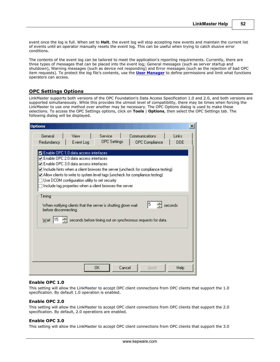event once the log is full. When set to **Halt**, the event log will stop accepting new events and maintain the current list of events until an operator manually resets the event log. This can be useful when trying to catch elusive error conditions.

The contents of the event log can be tailored to meet the application's reporting requirements. Currently, there are three types of messages that can be placed into the event log; General messages (such as server startup and shutdown), Warning messages (such as device not responding) and Error messages (such as the rejection of bad OPC item requests). To protect the log file's contents, use the **[User Manager](#page-16-0)** to define permissions and limit what functions operators can access.

# <span id="page-52-0"></span>**OPC Settings Options**

LinkMaster supports both versions of the OPC Foundation's Data Access Specification 1.0 and 2.0, and both versions are supported simultaneously. While this provides the utmost level of compatibility, there may be times when forcing the LinkMaster to use one method over another may be necessary. The OPC Options dialog is used to make these selections. To access the OPC Settings options, click on **Tools** | **Options**, then select the OPC Settings tab. The following dialog will be displayed.

| <b>Options</b>                                                                                                                                                                                                                                                                                                                                                                                                                                                            | $\vert x \vert$ |
|---------------------------------------------------------------------------------------------------------------------------------------------------------------------------------------------------------------------------------------------------------------------------------------------------------------------------------------------------------------------------------------------------------------------------------------------------------------------------|-----------------|
| Service<br>General<br>View<br>Communications<br>Links<br><b>OPC</b> Settings<br>Redundancy<br>Event Log<br>OPC Compliance                                                                                                                                                                                                                                                                                                                                                 | <b>DDE</b>      |
| Enable OPC 1.0 data access interfaces<br>$\boxdot$ Enable OPC 2.0 data access interfaces.<br>$\boxdot$ Enable OPC 3.0 data access interfaces<br>$\blacktriangledown$ Include hints when a client browses the server (uncheck for compliance testing).<br>$\blacktriangledown$ Allow clients to write to system level tags (uncheck for compliance testing).<br>Use DCOM configuration utility to set security.<br>Include tag properties when a client browses the server |                 |
| Timing<br>15<br>seconds<br>When notifying clients that the server is shutting down wait<br>before disconnecting.<br>115<br>seconds before timing out on synchronous requests for data.<br>Wait                                                                                                                                                                                                                                                                            |                 |
|                                                                                                                                                                                                                                                                                                                                                                                                                                                                           |                 |
| 0K<br>Cancel<br>Apply                                                                                                                                                                                                                                                                                                                                                                                                                                                     | Help            |

### **Enable OPC 1.0**

This setting will allow the LinkMaster to accept OPC client connections from OPC clients that support the 1.0 specification. By default 1.0 operation is enabled.

#### **Enable OPC 2.0**

This setting will allow the LinkMaster to accept OPC client connections from OPC clients that support the 2.0 specification. By default, 2.0 operations are enabled.

### **Enable OPC 3.0**

This setting will allow the LinkMaster to accept OPC client connections from OPC clients that support the 3.0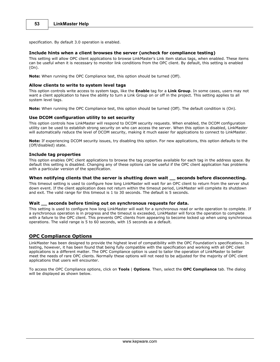specification. By default 3.0 operation is enabled.

#### **Include hints when a client browses the server (uncheck for compliance testing)**

This setting will allow OPC client applications to browse LinkMaster's Link item status tags, when enabled. These items can be useful when it is necessary to monitor link conditions from the OPC client. By default, this setting is enabled (On).

**Note:** When running the OPC Compliance test, this option should be turned (Off).

#### **Allow clients to write to system level tags**

This option controls write access to system tags, like the **Enable** tag for a **Link Group**. In some cases, users may not want a client application to have the ability to turn a Link Group on or off in the project. This setting applies to all system level tags.

**Note:** When running the OPC Compliance test, this option should be turned (Off). The default condition is (On).

#### **Use DCOM configuration utility to set security**

This option controls how LinkMaster will respond to DCOM security requests. When enabled, the DCOM configuration utility can be used to establish strong security on who can access the server. When this option is disabled, LinkMaster will automatically reduce the level of DCOM security, making it much easier for applications to connect to LinkMaster.

**Note:** If experiencing DCOM security issues, try disabling this option. For new applications, this option defaults to the (Off/disabled) state.

#### **Include tag properties**

This option enables OPC client applications to browse the tag properties available for each tag in the address space. By default this setting is disabled. Changing any of these options can be useful if the OPC client application has problems with a particular version of the specification.

### **When notifying clients that the server is shutting down wait \_\_ seconds before disconnecting.**

This timeout setting is used to configure how long LinkMaster will wait for an OPC client to return from the server shut down event. If the client application does not return within the timeout period, LinkMaster will complete its shutdown and exit. The valid range for this timeout is 1 to 30 seconds. The default is 5 seconds.

## **Wait \_\_ seconds before timing out on synchronous requests for data.**

This setting is used to configure how long LinkMaster will wait for a synchronous read or write operation to complete. If a synchronous operation is in progress and the timeout is exceeded, LinkMaster will force the operation to complete with a failure to the OPC client. This prevents OPC clients from appearing to become locked up when using synchronous operations. The valid range is 5 to 60 seconds, with 15 seconds as a default.

### <span id="page-53-0"></span>**OPC Compliance Options**

LinkMaster has been designed to provide the highest level of compatibility with the OPC Foundation's specifications. In testing, however, it has been found that being fully compatible with the specification and working with all OPC client applications is a different matter. The OPC Compliance option is used to tailor the operation of LinkMaster to better meet the needs of rare OPC clients. Normally these options will not need to be adjusted for the majority of OPC client applications that users will encounter.

To access the OPC Compliance options, click on **Tools** | **Options**. Then, select the **OPC Compliance** tab. The dialog will be displayed as shown below.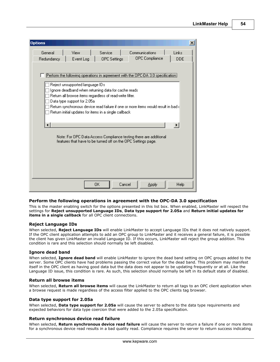**54**

| <b>Options</b> |                                                                |                                                                                                                                                                           |                                                                                                                                                                       | $\vert x \vert$ |
|----------------|----------------------------------------------------------------|---------------------------------------------------------------------------------------------------------------------------------------------------------------------------|-----------------------------------------------------------------------------------------------------------------------------------------------------------------------|-----------------|
| General        | View                                                           | Service                                                                                                                                                                   | Communications                                                                                                                                                        | Links           |
| Redundancy     | Event Log                                                      | <b>OPC</b> Settings                                                                                                                                                       | OPC Compliance                                                                                                                                                        | <b>DDE</b>      |
|                | Reject unsupported language IDs<br>Data type support for 2.05a | Ignore deadband when returning data for cache reads<br>Return all browse items regardless of read-write filter.<br>Return initial updates for items in a single callback. | Perform the following operations in agreement with the OPC-DA 3.0 specification;<br>Return synchronous device read failure if one or more items would result in bad d |                 |
|                |                                                                |                                                                                                                                                                           | Note: For OPC Data Access Compliance testing there are additional                                                                                                     |                 |
|                |                                                                | features that have to be turned off on the OPC Settings page.                                                                                                             |                                                                                                                                                                       |                 |
|                |                                                                | OK.<br>Cancel                                                                                                                                                             | Apply                                                                                                                                                                 | Help            |

### **Perform the following operations in agreement with the OPC-DA 3.0 specification**

This is the master enabling switch for the options presented in this list box. When enabled, LinkMaster will respect the settings for **Reject unsupported Language IDs**, **Data type support for 2.05a** and **Return initial updates for items in a single callback** for all OPC client connections.

#### **Reject Language IDs**

When selected, **Reject Language IDs** will enable LinkMaster to accept Language IDs that it does not natively support. If the OPC client application attempts to add an OPC group to LinkMaster and it receives a general failure, it is possible the client has given LinkMaster an invalid Language ID. If this occurs, LinkMaster will reject the group addition. This condition is rare and this selection should normally be left disabled.

#### **Ignore dead band**

When selected, **Ignore dead band** will enable LinkMaster to ignore the dead band setting on OPC groups added to the server. Some OPC clients have had problems passing the correct value for the dead band. This problem may manifest itself in the OPC client as having good data but the data does not appear to be updating frequently or at all. Like the Language ID issue, this condition is rare. As such, this selection should normally be left in its default state of disabled.

#### **Return all browse items**

When selected, **Return all browse items** will cause the LinkMaster to return all tags to an OPC client application when a browse request is made regardless of the access filter applied to the OPC clients tag browser.

# **Data type support for 2.05a**

When selected, **Data type support for 2.05a** will cause the server to adhere to the data type requirements and expected behaviors for data type coercion that were added to the 2.05a specification.

#### **Return synchronous device read failure**

When selected, **Return synchronous device read failure** will cause the server to return a failure if one or more items for a synchronous device read results in a bad quality read. Compliance requires the server to return success indicating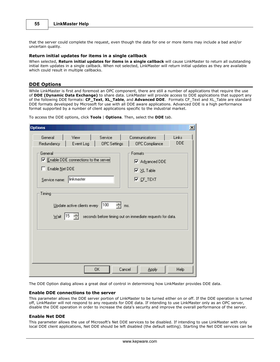that the server could complete the request, even though the data for one or more items may include a bad and/or uncertain quality.

#### **Return initial updates for items in a single callback**

When selected, **Return initial updates for items in a single callback** will cause LinkMaster to return all outstanding initial item updates in a single callback. When not selected, LinkMaster will return initial updates as they are available which could result in multiple callbacks.

## <span id="page-55-0"></span>**DDE Options**

While LinkMaster is first and foremost an OPC component, there are still a number of applications that require the use of **DDE (Dynamic Data Exchange)** to share data. LinkMaster will provide access to DDE applications that support any of the following DDE formats: **CF\_Text**, **XL\_Table**, and **Advanced DDE**. Formats CF\_Text and XL\_Table are standard DDE formats developed by Microsoft for use with all DDE aware applications. Advanced DDE is a high performance format supported by a number of client applications specific to the industrial market.

To access the DDE options, click **Tools** | **Options**. Then, select the **DDE** tab.

| <b>Options</b>                                                                                     | $\vert x \vert$                                                                              |
|----------------------------------------------------------------------------------------------------|----------------------------------------------------------------------------------------------|
| Service<br>General<br>View<br>Redundancy<br>Event Log<br><b>OPC</b> Settings                       | Communications<br>Links<br><b>DDE</b><br>OPC Compliance                                      |
| General<br>Ⅳ Enable DDE connections to the server<br>Enable Net DDE<br>linkmaster<br>Service name: | Formats<br>Ⅳ Advanced DDE<br>$\overline{\triangledown}$ $\times$ L Table<br>$\nabla$ CF_TEXT |
| Timing<br>100<br>Update active clients every<br>ms.                                                |                                                                                              |
| 15 <br>$\underline{\mathsf{W}}$ ait                                                                | seconds before timing out on immediate requests for data.                                    |
|                                                                                                    |                                                                                              |
| OΚ<br>Cancel                                                                                       | Help<br><b>Apply</b>                                                                         |

The DDE Option dialog allows a great deal of control in determining how LinkMaster provides DDE data.

#### **Enable DDE connections to the server**

This parameter allows the DDE server portion of LinkMaster to be turned either on or off. If the DDE operation is turned off, LinkMaster will not respond to any requests for DDE data. If intending to use LinkMaster only as an OPC server, disable the DDE operation in order to increase the data's security and improve the overall performance of the server.

#### **Enable Net DDE**

This parameter allows the use of Microsoft's Net DDE services to be disabled. If intending to use LinkMaster with only local DDE client applications, Net DDE should be left disabled (the default setting). Starting the Net DDE services can be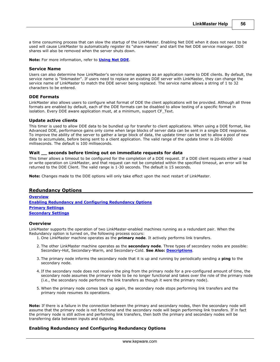a time consuming process that can slow the startup of the LinkMaster. Enabling Net DDE when it does not need to be used will cause LinkMaster to automatically register its "share names" and start the Net DDE service manager. DDE shares will also be removed when the server shuts down.

**Note:** For more information, refer to **[Using Net DDE](#page-10-0)**.

#### **Service Name**

Users can also determine how LinkMaster's service name appears as an application name to DDE clients. By default, the service name is "linkmaster". If users need to replace an existing DDE server with LinkMaster, they can change the service name of LinkMaster to match the DDE server being replaced. The service name allows a string of 1 to 32 characters to be entered.

#### **DDE Formats**

LinkMaster also allows users to configure what format of DDE the client applications will be provided. Although all three formats are enabled by default, each of the DDE formats can be disabled to allow testing of a specific format in isolation. Every DDE aware application must, at a minimum, support CF\_Text.

#### **Update active clients**

This timer is used to allow DDE data to be bundled up for transfer to client applications. When using a DDE format, like Advanced DDE, performance gains only come when large blocks of server data can be sent in a single DDE response. To improve the ability of the server to gather a large block of data, the update timer can be set to allow a pool of new data to accumulate, before being sent to a client application. The valid range of the update timer is 20-60000 milliseconds. The default is 100 milliseconds.

#### **Wait \_\_ seconds before timing out on immediate requests for data**

This timer allows a timeout to be configured for the completion of a DDE request. If a DDE client requests either a read or write operation on LinkMaster, and that request can not be completed within the specified timeout, an error will be returned to the DDE Client. The valid range is 1-30 seconds. The default is 15 seconds.

**Note:** Changes made to the DDE options will only take effect upon the next restart of LinkMaster.

### <span id="page-56-0"></span>**Redundancy Options**

**[Overview](#page-56-1) [Enabling Redundancy and Configuring Redundancy Options](#page-56-2) [Primary Settings](#page-58-0) [Secondary Settings](#page-58-1)**

#### <span id="page-56-1"></span>**Overview**

LinkMaster supports the operation of two LinkMaster-enabled machines running as a redundant pair. When the Redundancy option is turned on, the following process occurs:

- 1. One LinkMaster machine operates as the **primary node**. It actively performs link transfers.
- 2. The other LinkMaster machine operates as the **secondary node**. Three types of secondary nodes are possible: Secondary-Hot, Secondary-Warm, and Secondary-Cold. **See Also: [Descriptions](#page-57-0)**.
- 3. The primary node informs the secondary node that it is up and running by periodically sending a **ping** to the secondary node.
- 4. If the secondary node does not receive the ping from the primary node for a pre-configured amount of time, the secondary node assumes the primary node to be no longer functional and takes over the role of the primary node (i.e., the secondary node performs the link transfers as though it were the primary node).
- 5. When the primary node comes back up again, the secondary node stops performing link transfers and the primary node resumes its operations.

**Note:** If there is a failure in the connection between the primary and secondary nodes, then the secondary node will assume that the primary node is not functional and the secondary node will begin performing link transfers. If in fact the primary node is still active and performing link transfers, then both the primary and secondary nodes will be transferring data between inputs and outputs.

### <span id="page-56-2"></span>**Enabling Redundancy and Configuring Redundancy Options**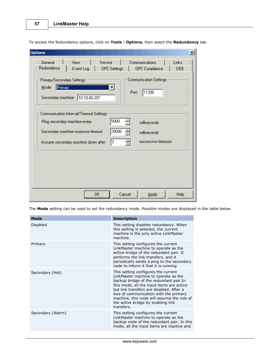| <b>Options</b>                                                                                                                             |                     | $\mathbf{x}$ |
|--------------------------------------------------------------------------------------------------------------------------------------------|---------------------|--------------|
| General<br>View<br>Service<br>Communications<br>Redundancy<br>Event Log<br><b>OPC</b> Settings<br>OPC Compliance                           | Links<br><b>DDE</b> |              |
| Communication Settings<br>Primary/Secondary Settings:<br>Mode:<br>Primary<br>11206<br>Port:<br>Secondary machine: 10.10.40.207             |                     |              |
| Communication Interval/Timeout Settings:<br>5000<br>Ping secondary machine every<br>milliseconds                                           |                     |              |
| 20000<br>싂<br>Secondary machine response timeout:<br>milliseconds<br>3<br>싂<br>successive timeouts<br>Assume secondary machine down after: |                     |              |
|                                                                                                                                            |                     |              |
|                                                                                                                                            |                     |              |
| OΚ<br>Cancel<br><b>Apply</b>                                                                                                               | Help                |              |

To access the Redundancy options, click on **Tools** | **Options**, then select the **Redundancy** tab.

The **Mode** setting can be used to set the redundancy mode. Possible modes are displayed in the table below.

<span id="page-57-0"></span>

| <b>Mode</b>      | <b>Description</b>                                                                                                                                                                                                                                                                                                                                          |
|------------------|-------------------------------------------------------------------------------------------------------------------------------------------------------------------------------------------------------------------------------------------------------------------------------------------------------------------------------------------------------------|
| Disabled         | This setting disables redundancy. When<br>this setting is selected, the current<br>machine is the only active LinkMaster<br>machine.                                                                                                                                                                                                                        |
| Primary          | This setting configures the current<br>LinkMaster machine to operate as the<br>active bridge of the redundant pair. It<br>performs the link transfers, and it<br>periodically sends a ping to the secondary<br>node to inform it that it is running.                                                                                                        |
| Secondary (Hot)  | This setting configures the current<br>LinkMaster machine to operate as the<br>backup bridge of the redundant pair. In<br>this mode, all the input items are active<br>but link transfers are disabled. After a<br>loss of communication with the primary<br>machine, this node will assume the role of<br>the active bridge by enabling link<br>transfers. |
| Secondary (Warm) | This setting configures the current<br>LinkMaster machine to operate as the<br>backup node of the redundant pair. In this<br>mode, all the input items are inactive and                                                                                                                                                                                     |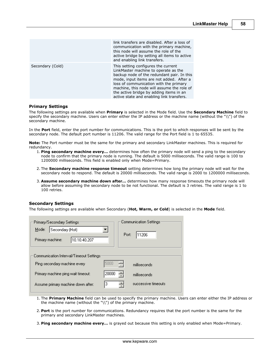|                  | link transfers are disabled. After a loss of<br>communication with the primary machine,<br>this node will assume the role of the<br>active bridge by setting all items to active<br>and enabling link transfers.                                                                                                                                      |
|------------------|-------------------------------------------------------------------------------------------------------------------------------------------------------------------------------------------------------------------------------------------------------------------------------------------------------------------------------------------------------|
| Secondary (Cold) | This setting configures the current<br>LinkMaster machine to operate as the<br>backup node of the redundant pair. In this<br>mode, input items are not added. After a<br>loss of communication with the primary<br>machine, this node will assume the role of<br>the active bridge by adding items in an<br>active state and enabling link transfers. |

#### <span id="page-58-0"></span>**Primary Settings**

The following settings are available when **Primary** is selected in the Mode field. Use the **Secondary Machine** field to specify the secondary machine. Users can enter either the IP address or the machine name (without the "\\") of the secondary machine.

In the **Port** field, enter the port number for communications. This is the port to which responses will be sent by the secondary node. The default port number is 11206. The valid range for the Port field is 1 to 65535.

**Note:** The Port number must be the same for the primary and secondary LinkMaster machines. This is required for redundancy.

- 1. **Ping secondary machine every…** determines how often the primary node will send a ping to the secondary node to confirm that the primary node is running. The default is 5000 milliseconds. The valid range is 100 to 1200000 milliseconds. This field is enabled only when Mode=Primary.
- 2. The **Secondary machine response timeout** setting determines how long the primary node will wait for the secondary node to respond. The default is 20000 milliseconds. The valid range is 2000 to 1200000 milliseconds.
- 3. **Assume secondary machine down after…** determines how many response timeouts the primary node will allow before assuming the secondary node to be not functional. The default is 3 retries. The valid range is 1 to 100 retries.

### <span id="page-58-1"></span>**Secondary Settings**

The following settings are available when Secondary (**Hot, Warm, or Cold**) is selected in the **Mode** field.

| Primary/Secondary Settings               | <b>Communication Settings</b> |
|------------------------------------------|-------------------------------|
| Secondary (Hot)<br>Mode:                 | 11206<br>Port:                |
| Primary machine:<br>10.10.40.207         |                               |
| :Communication Interval/Timeout Settings |                               |
|                                          |                               |
| Ping secondary machine every             | 릒<br>5000<br>milliseconds     |
| Primary machine ping wait timeout:       | ÷<br>20000<br>milliseconds    |
| Assume primary machine down after:       | successive timeouts<br>З<br>÷ |
|                                          |                               |

- 1. The **Primary Machine** field can be used to specify the primary machine. Users can enter either the IP address or the machine name (without the "\\") of the primary machine.
- 2. **Port** is the port number for communications. Redundancy requires that the port number is the same for the primary and secondary LinkMaster machines.
- 3. **Ping secondary machine every…** is grayed out because this setting is only enabled when Mode=Primary.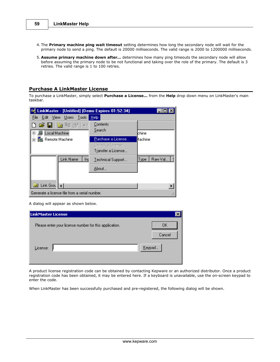- 4. The **Primary machine ping wait timeout** setting determines how long the secondary node will wait for the primary node to send a ping. The default is 20000 milliseconds. The valid range is 2000 to 1200000 milliseconds.
- 5. **Assume primary machine down after…** determines how many ping timeouts the secondary node will allow before assuming the primary node to be not functional and taking over the role of the primary. The default is 3 retries. The valid range is 1 to 100 retries.

# **Purchase A LinkMaster License**

To purchase a LinkMaster, simply select **Purchase a License...** from the **Help** drop down menu on LinkMaster's main taskbar.

| 『를 LinkMaster - [Untitled] (Demo Expires 01:52:34)                     |                                                                       |                  |
|------------------------------------------------------------------------|-----------------------------------------------------------------------|------------------|
| Edit View Users Tools<br>File                                          | Help                                                                  |                  |
| 口声目を转配<br>-KO<br>田 Jocal Machine                                       | Contents<br>Search                                                    | lchine           |
| - 题 Remote Machine<br>ஈ                                                | Purchase a License<br>Unlock a License<br>T <u>r</u> ansfer a License | Machine          |
| Link Name<br>Inp                                                       | Technical Support<br>About                                            | Raw Val.<br>Type |
| Link Grou $\ \cdot\ $<br>Generate a license file from a serial number. |                                                                       |                  |

A dialog will appear as shown below.

| LinkMaster License                                     |        |
|--------------------------------------------------------|--------|
| Please enter your license number for this application. | OΚ     |
|                                                        | Cancel |
| License:                                               | Keypad |

A product license registration code can be obtained by contacting Kepware or an authorized distributor. Once a product registration code has been obtained, it may be entered here. If a keyboard is unavailable, use the on-screen keypad to enter the code.

When LinkMaster has been successfully purchased and pre-registered, the following dialog will be shown.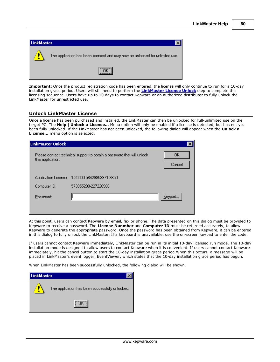| LinkMaster |                                                                              |
|------------|------------------------------------------------------------------------------|
| Æ          | The application has been licensed and may now be unlocked for unlimited use. |
|            |                                                                              |

**Important:** Once the product registration code has been entered, the license will only continue to run for a 10-day installation grace period. Users will still need to perform the **[LinkMaster License Unlock](#page-60-0)** step to complete the licensing sequence. Users have up to 10 days to contact Kepware or an authorized distributor to fully unlock the LinkMaster for unrestricted use.

# <span id="page-60-0"></span>**Unlock LinkMaster License**

Once a license has been purchased and installed, the LinkMaster can then be unlocked for full-unlimited use on the target PC. The **Help** | **Unlock a License...** Menu option will only be enabled if a license is detected, but has not yet been fully unlocked. If the LinkMaster has not been unlocked, the following dialog will appear when the **Unlock a License...** menu option is selected.

| ∣LinkMaster Unlock |                                                                        |              |
|--------------------|------------------------------------------------------------------------|--------------|
| this application.  | Please contact technical support to obtain a password that will unlock | OΚ<br>Cancel |
|                    | Application License: 1-20000-58429853971-3650                          |              |
| Computer ID:       | 573055200-227226968                                                    |              |
| Password:          |                                                                        | Keypad       |
|                    |                                                                        |              |

At this point, users can contact Kepware by email, fax or phone. The data presented on this dialog must be provided to Kepware to receive a password. The **License Nunmber** and **Computer ID** must be returned accurately, to allow Kepware to generate the appropriate password. Once the password has been obtained from Kepware, it can be entered in this dialog to fully unlock the LinkMaster. If a keyboard is unavailable, use the on-screen keypad to enter the code.

If users cannot contact Kepware immediately, LinkMaster can be run in its initial 10-day licensed run mode. The 10-day installation mode is designed to allow users to contact Kepware when it is convenient. If users cannot contact Kepware immediately, hit the cancel button to start the 10-day installation grace period.When this occurs, a message will be placed in LinkMaster's event logger, EventViewer, which states that the 10-day installation grace period has begun.

When LinkMaster has been successfully unlocked, the following dialog will be shown.

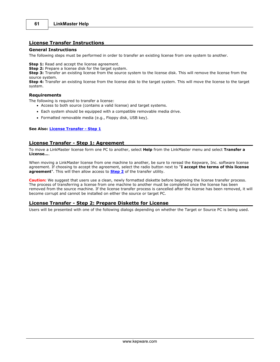# **License Transfer Instructions**

#### **General Instructions**

The following steps must be performed in order to transfer an existing license from one system to another.

**Step 1:** Read and accept the license agreement.

**Step 2:** Prepare a license disk for the target system.

**Step 3:** Transfer an existing license from the source system to the license disk. This will remove the license from the source system.

**Step 4:** Transfer an existing license from the license disk to the target system. This will move the license to the target system.

#### **Requirements**

The following is required to transfer a license:

- Access to both source (contains a valid license) and target systems.
- Each system should be equipped with a compatible removable media drive.
- Formatted removable media (e.g., Floppy disk, USB key).

#### **See Also: [License Transfer - Step 1](#page-61-0)**

### <span id="page-61-0"></span>**License Transfer - Step 1: Agreement**

To move a LinkMaster license form one PC to another, select **Help** from the LinkMaster menu and select **Transfer a License...**.

When moving a LinkMaster license from one machine to another, be sure to reread the Kepware, Inc. software license agreement. If choosing to accept the agreement, select the radio button next to "**I accept the terms of this license agreement**". This will then allow access to **[Step 2](#page-61-1)** of the transfer utility.

**Caution:** We suggest that users use a clean, newly formatted diskette before beginning the license transfer process. The process of transferring a license from one machine to another must be completed once the license has been removed from the source machine. If the license transfer process is cancelled after the license has been removed, it will become corrupt and cannot be installed on either the source or target PC.

# <span id="page-61-1"></span>**License Transfer - Step 2: Prepare Diskette for License**

Users will be presented with one of the following dialogs depending on whether the Target or Source PC is being used.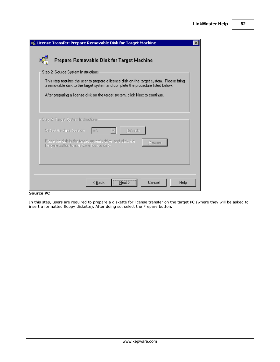**62**

| License Transfer: Prepare Removable Disk for Target Machine                                                                                                                |  |
|----------------------------------------------------------------------------------------------------------------------------------------------------------------------------|--|
| Prepare Removable Disk for Target Machine                                                                                                                                  |  |
| Step 2: Source System Instructions:                                                                                                                                        |  |
| This step requires the user to prepare a license disk on the target system. Please bring<br>a removable disk to the target system and complete the procedure listed below. |  |
| After preparing a license disk on the target system, click Next to continue.                                                                                               |  |
|                                                                                                                                                                            |  |
| Step 2: Target System Instructions-                                                                                                                                        |  |
| Refresh<br>Select the drive location:<br>IAN.                                                                                                                              |  |
| Place the disk in the target system's drive, and click the<br>Prepare<br>Prepare button to initialize a license disk:                                                      |  |
|                                                                                                                                                                            |  |
|                                                                                                                                                                            |  |
| Cancel<br>< <u>B</u> ack<br>Help<br>Next :                                                                                                                                 |  |

## **Source PC**

In this step, users are required to prepare a diskette for license transfer on the target PC (where they will be asked to insert a formatted floppy diskette). After doing so, select the Prepare button.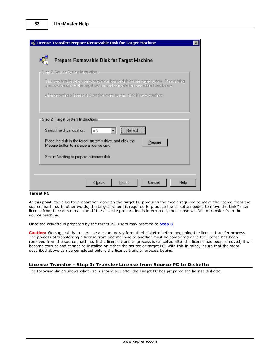| <b>e</b> License Transfer: Prepare Removable Disk for Target Machine                                                                                                       |
|----------------------------------------------------------------------------------------------------------------------------------------------------------------------------|
| Prepare Removable Disk for Target Machine                                                                                                                                  |
| Step 2: Source System Instructions-                                                                                                                                        |
| This step requires the user to prepare a license disk on the target system. Please bring<br>a removable disk to the target system and complete the procedure listed below. |
| After preparing a license disk on the target system, click Next to continue.                                                                                               |
| Step 2: Target System Instructions:<br><u>R</u> efresh<br>Select the drive location:<br>IAN                                                                                |
| Place the disk in the target system's drive, and click the<br>Prepare<br>Prepare button to initialize a license disk:                                                      |
| Status: Waiting to prepare a license disk.                                                                                                                                 |
| < <u>B</u> ack<br>Cancel<br>Help<br>Next >                                                                                                                                 |

## **Target PC**

At this point, the diskette preparation done on the target PC produces the media required to move the license from the source machine. In other words, the target system is required to produce the diskette needed to move the LinkMaster license from the source machine. If the diskette preparation is interrupted, the license will fail to transfer from the source machine.

Once the diskette is prepared by the target PC, users may proceed to **[Step 3](#page-63-0)**.

**Caution:** We suggest that users use a clean, newly formatted diskette before beginning the license transfer process. The process of transferring a license from one machine to another must be completed once the license has been removed from the source machine. If the license transfer process is cancelled after the license has been removed, it will become corrupt and cannot be installed on either the source or target PC. With this in mind, insure that the steps described above can be completed before the license transfer process begins.

### <span id="page-63-0"></span>**License Transfer - Step 3: Transfer License from Source PC to Diskette**

The following dialog shows what users should see after the Target PC has prepared the license diskette.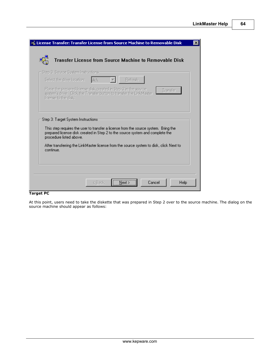| Transfer License from Source Machine to Removable Disk<br>Step 3: Source System Instructions-<br>Select the drive location:<br>Refresh<br>IAN<br>Place the prepared license disk created in Step 2 in the source<br>Transfer<br>system's drive. Click the Transfer button to transfer the LinkMaster<br>license to the disk:<br>Step 3: Target System Instructions:<br>This step requires the user to transfer a license from the source system. Bring the<br>prepared license disk created in Step 2 to the source system and complete the<br>procedure listed above.<br>After transferring the LinkMaster license from the source system to disk, click Next to<br>continue. | License Transfer: Transfer License from Source Machine to Removable Disk |  |  |
|--------------------------------------------------------------------------------------------------------------------------------------------------------------------------------------------------------------------------------------------------------------------------------------------------------------------------------------------------------------------------------------------------------------------------------------------------------------------------------------------------------------------------------------------------------------------------------------------------------------------------------------------------------------------------------|--------------------------------------------------------------------------|--|--|
|                                                                                                                                                                                                                                                                                                                                                                                                                                                                                                                                                                                                                                                                                |                                                                          |  |  |
|                                                                                                                                                                                                                                                                                                                                                                                                                                                                                                                                                                                                                                                                                |                                                                          |  |  |
|                                                                                                                                                                                                                                                                                                                                                                                                                                                                                                                                                                                                                                                                                |                                                                          |  |  |
|                                                                                                                                                                                                                                                                                                                                                                                                                                                                                                                                                                                                                                                                                |                                                                          |  |  |
|                                                                                                                                                                                                                                                                                                                                                                                                                                                                                                                                                                                                                                                                                |                                                                          |  |  |
|                                                                                                                                                                                                                                                                                                                                                                                                                                                                                                                                                                                                                                                                                |                                                                          |  |  |
|                                                                                                                                                                                                                                                                                                                                                                                                                                                                                                                                                                                                                                                                                |                                                                          |  |  |
|                                                                                                                                                                                                                                                                                                                                                                                                                                                                                                                                                                                                                                                                                |                                                                          |  |  |
|                                                                                                                                                                                                                                                                                                                                                                                                                                                                                                                                                                                                                                                                                |                                                                          |  |  |
| Cancel<br>Help<br>< Back<br>Next :                                                                                                                                                                                                                                                                                                                                                                                                                                                                                                                                                                                                                                             |                                                                          |  |  |

# **Target PC**

At this point, users need to take the diskette that was prepared in Step 2 over to the source machine. The dialog on the source machine should appear as follows: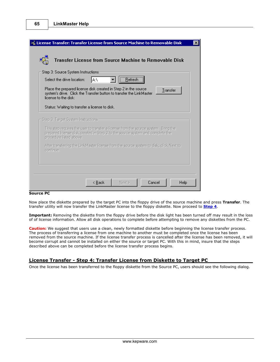|           | Step 3: Source System Instructions:<br>Refresh<br>lA:۱<br>Select the drive location:<br>Place the prepared license disk created in Step 2 in the source<br>Transfer<br>system's drive. Click the Transfer button to transfer the LinkMaster<br>license to the disk: |
|-----------|---------------------------------------------------------------------------------------------------------------------------------------------------------------------------------------------------------------------------------------------------------------------|
|           | Status: Waiting to transfer a license to disk.<br>– Step 3: Target System Instructions-                                                                                                                                                                             |
|           | This step requires the user to transfer a license from the source system. Bring the<br>prepared license disk created in Step 2 to the source system and complete the<br>procedure listed above.                                                                     |
|           |                                                                                                                                                                                                                                                                     |
| continue. | After transferring the LinkMaster license from the source system to disk, click Next to                                                                                                                                                                             |

## **Source PC**

Now place the diskette prepared by the target PC into the floppy drive of the source machine and press **Transfer**. The transfer utility will now transfer the LinkMaster license to the floppy diskette. Now proceed to **[Step 4](#page-65-0)**.

**Important:** Removing the diskette from the floppy drive before the disk light has been turned off may result in the loss of of license information. Allow all disk operations to complete before attempting to remove any diskettes from the PC.

**Caution:** We suggest that users use a clean, newly formatted diskette before beginning the license transfer process. The process of transferring a license from one machine to another must be completed once the license has been removed from the source machine. If the license transfer process is cancelled after the license has been removed, it will become corrupt and cannot be installed on either the source or target PC. With this in mind, insure that the steps described above can be completed before the license transfer process begins.

# <span id="page-65-0"></span>**License Transfer - Step 4: Transfer License from Diskette to Target PC**

Once the license has been transferred to the floppy diskette from the Source PC, users should see the following dialog.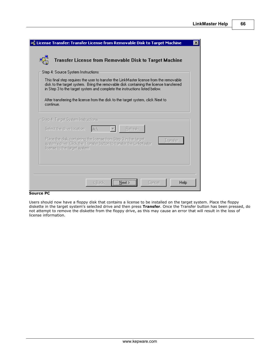| License Transfer: Transfer License from Removable Disk to Target Machine                                                                                                                                                                                         |  |
|------------------------------------------------------------------------------------------------------------------------------------------------------------------------------------------------------------------------------------------------------------------|--|
| Transfer License from Removable Disk to Target Machine                                                                                                                                                                                                           |  |
| Step 4: Source System Instructions                                                                                                                                                                                                                               |  |
| This final step requires the user to transfer the LinkMaster license from the removable.<br>disk to the target system. Bring the removable disk containing the license transferred<br>in Step 3 to the target system and complete the instructions listed below. |  |
| After transferring the license from the disk to the target system, click Next to<br>continue.                                                                                                                                                                    |  |
| Step 4: Target System Instructions-                                                                                                                                                                                                                              |  |
| Select the drive location:<br>Refresh<br>IAN.                                                                                                                                                                                                                    |  |
| Place the disk containing the license from Step 3 in the target<br>Transfer<br>system's drive. Click the Transfer button to transfer the LinkMaster<br>license to the target system.                                                                             |  |
|                                                                                                                                                                                                                                                                  |  |
|                                                                                                                                                                                                                                                                  |  |
| Cancel<br>Help<br>< Back                                                                                                                                                                                                                                         |  |

## **Source PC**

Users should now have a floppy disk that contains a license to be installed on the target system. Place the floppy diskette in the target system's selected drive and then press **Transfer**. Once the Transfer button has been pressed, do not attempt to remove the diskette from the floppy drive, as this may cause an error that will result in the loss of license information.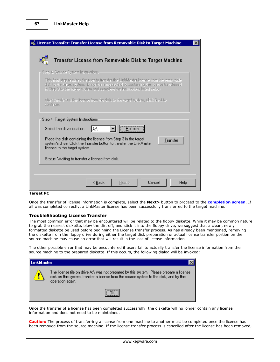| License Transfer: Transfer License from Removable Disk to Target Machine                                                                                                                                                                                        | $\times$ |
|-----------------------------------------------------------------------------------------------------------------------------------------------------------------------------------------------------------------------------------------------------------------|----------|
| Transfer License from Removable Disk to Target Machine                                                                                                                                                                                                          |          |
| Step 4: Source System Instructions-                                                                                                                                                                                                                             |          |
| This final step requires the user to transfer the LinkMaster license from the removable<br>disk to the target system. Bring the removable disk containing the license transferred<br>in Step 3 to the target system and complete the instructions listed below. |          |
| After transferring the license from the disk to the target system, click Next to<br>continue.                                                                                                                                                                   |          |
| Step 4: Target System Instructions:<br>A:V<br>Select the drive location:<br>Refresh                                                                                                                                                                             |          |
| Place the disk containing the license from Step 3 in the target<br>Transfer<br>system's drive. Click the Transfer button to transfer the LinkMaster<br>license to the target system.                                                                            |          |
| Status: Waiting to transfer a license from disk.                                                                                                                                                                                                                |          |
|                                                                                                                                                                                                                                                                 |          |
| Cancel<br>Help<br>< Back<br>Next >                                                                                                                                                                                                                              |          |

## **Target PC**

Once the transfer of license information is complete, select the **Next>** button to proceed to the **[completion screen](#page-68-0)**. If all was completed correctly, a LinkMaster license has been successfully transferred to the target machine.

#### **TroubleShooting License Transfer**

The most common error that may be encountered will be related to the floppy diskette. While it may be common nature to grab the nearest diskette, blow the dirt off, and stick it into the floppy drive, we suggest that a clean, newly formatted diskette be used before beginning the License transfer process. As has already been mentioned, removing the diskette from the floppy drive during either the target disk preparation or actual license transfer portion on the source machine may cause an error that will result in the loss of license information

The other possible error that may be encountered if users fail to actually transfer the license information from the source machine to the prepared diskette. If this occurs, the following dialog will be invoked:



Once the transfer of a license has been completed successfully, the diskette will no longer contain any license information and does not need to be maintained.

**Caution:** The process of transferring a license from one machine to another must be completed once the license has been removed from the source machine. If the license transfer process is cancelled after the license has been removed,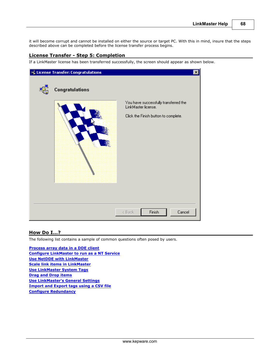it will become corrupt and cannot be installed on either the source or target PC. With this in mind, insure that the steps described above can be completed before the license transfer process begins.

# <span id="page-68-0"></span>**License Transfer - Step 5: Completion**

If a LinkMaster license has been transferred successfully, the screen should appear as shown below.

| <b>Po</b> License Transfer: Congratulations |                                                              | $\vert x \vert$ |
|---------------------------------------------|--------------------------------------------------------------|-----------------|
| Congratulations                             |                                                              |                 |
|                                             | You have successfully transferred the<br>LinkMaster license. |                 |
|                                             | Click the Finish button to complete.                         |                 |
|                                             |                                                              |                 |
|                                             | Finish<br>Cancel<br>< Back                                   |                 |

# **How Do I...?**

The following list contains a sample of common questions often posed by users.

**[Process array data in a DDE client](#page-9-0) [Configure LinkMaster to run as a NT Service](#page-43-0) [Use NetDDE with LinkMaster](#page-10-0) [Scale link items in LinkMaster](#page-39-0) [Use LinkMaster System Tags](#page-11-0) [Drag and Drop items](#page-12-0) [Use LinkMaster's General Settings](#page-40-0) [Import and Export tags using a CSV file](#page-13-0) [Configure Redundancy](#page-56-0)**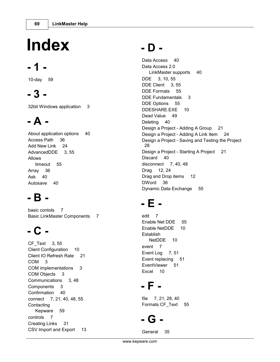# **Index**

# **- 1 -**

10-day 59

# **- 3 -**

32bit Windows application 3

# **- A -**

About application options 40 Access Path 36 Add New Link 24 AdvancedDDE 3, 55 Allows timeout 55 Array 36 Ask 40 Autosave 40

# **- B -**

basic contols 7 Basic LinkMaster Components 7

# **- C -**

CF\_Text 3, 55 Client Configuration 10 Client IO Refresh Rate 21 COM 3 COM implementations 3 COM Objects 3 Communications 3, 48 Components 3 Confirmation 40 connect 7, 21, 40, 48, 55 Contacting Kepware 59 controls 7 Creating Links 31 CSV Import and Export 13

# **- D -**

Data Access 40 Data Access 2.0 LinkMaster supports 40 DDE 3, 10, 55 DDE Client 3, 55 DDE Formats 55 DDE Fundamentals 3 DDE Options 55 DDESHARE.EXE 10 Dead Value 49 Deleting 40 Design a Project - Adding A Group 21 Design a Project - Adding A Link Item 24 Design a Project - Saving and Testing the Project 28 Design a Project - Starting A Project 21 Discard 40 disconnect 7, 40, 48 Drag 12, 24 Drag and Drop items 12 DWord 36 Dynamic Data Exchange 55

# **- E -**

edit 7 Enable Net DDE 55 Enable NetDDE 10 Establish NetDDE 10 event 7 Event Log 7, 51 Event replacing 51 EventViewer 51 Excel 10

# **- F -**

file 7, 21, 28, 40 Formats CF\_Text 55

# **- G -**

General 35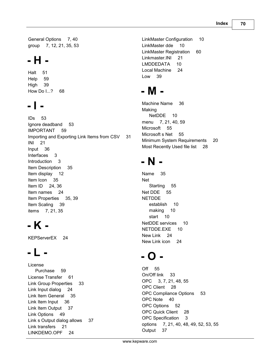General Options 7, 40 group 7, 12, 21, 35, 53

# **- H -**

Halt 51 Help 59 High 39 How Do I...? 68

# **- I -**

IDs 53 Ignore deadband 53 IMPORTANT 59 Importing and Exporting Link Items from CSV 31 INI 21 Input 36 Interfaces 3 Introduction 3 Item Description 35 Item display 12 Item Icon 35 Item ID 24, 36 Item names 24 Item Properties 35, 39 Item Scaling 39 items 7, 21, 35

# **- K -**

KEPServerEX 24

# **- L -**

License Purchase 59 License Transfer 61 Link Group Properties 33 Link Input dialog 24 Link Item General 35 Link Item Input 36 Link Item Output 37 Link Options 49 Link s Output dialog allows 37 Link transfers 21 LINKDEMO.OPF 24

LinkMaster Configuration 10 LinkMaster dde 10 LinkMaster Registration 60 Linkmaster.INI 21 LMDDEDATA 10 Local Machine 24 Low 39

# **- M -**

Machine Name 36 Making NetDDE 10 menu 7, 21, 40, 59 Microsoft 55 Microsoft s Net 55 Minimum System Requirements 20 Most Recently Used file list 28

# **- N -**

Name 35 Net Starting 55 Net DDE 55 NETDDE establish 10 making 10 start 10 NetDDE services 10 NETDDE.EXE 10 New Link 24 New Link icon 24

# **- O -**

Off 55 On/Off link 33 OPC 3, 7, 21, 48, 55 OPC Client 28 OPC Compliance Options 53 OPC Note 40 OPC Options 52 OPC Quick Client 28 OPC Specification 3 options 7, 21, 40, 48, 49, 52, 53, 55 Output 37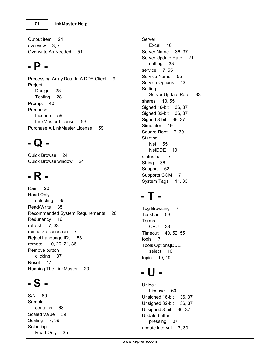Output item 24 overview 3, 7 Overwrite As Needed 51

# **- P -**

Processing Array Data In A DDE Client 9 Project Design 28 Testing 28 Prompt 40 Purchase License 59 LinkMaster License 59 Purchase A LinkMaster License 59

# **- Q -**

Quick Browse 24 Quick Browse window 24

# **- R -**

Ram 20 Read Only selecting 35 Read/Write 35 Recommended System Requirements 20 Redunancy 16 refresh 7, 33 reintialize conection 7 Reject Language IDs 53 remote 10, 20, 21, 36 Remove button clicking 37 Reset 17 Running The LinkMaster 20

# **- S -**

S/N 60 Sample contains 68 Scaled Value 39 Scaling 7, 39 Selecting Read Only 35 Server Excel 10 Server Name 36, 37 Server Update Rate 21 setting 33 service 7, 55 Service Name 55 Service Options 43 Setting Server Update Rate 33 shares 10, 55 Signed 16-bit 36, 37 Signed 32-bit 36, 37 Signed 8-bit 36, 37 Simulator 19 Square Root 7, 39 **Starting** Net 55 NetDDE 10 status bar 7 String 36 Support 52 Supports COM 7 System Tags 11, 33

# **- T -**

Tag Browsing 7 Taskbar 59 Terms CPU 33 Timeout 40, 52, 55 tools 7 Tools|Options|DDE select 10 topic 10, 19

# **- U -**

Unlock License 60 Unsigned 16-bit 36, 37 Unsigned 32-bit 36, 37 Unsigned 8-bit 36, 37 Update button pressing 37 update interval 7, 33